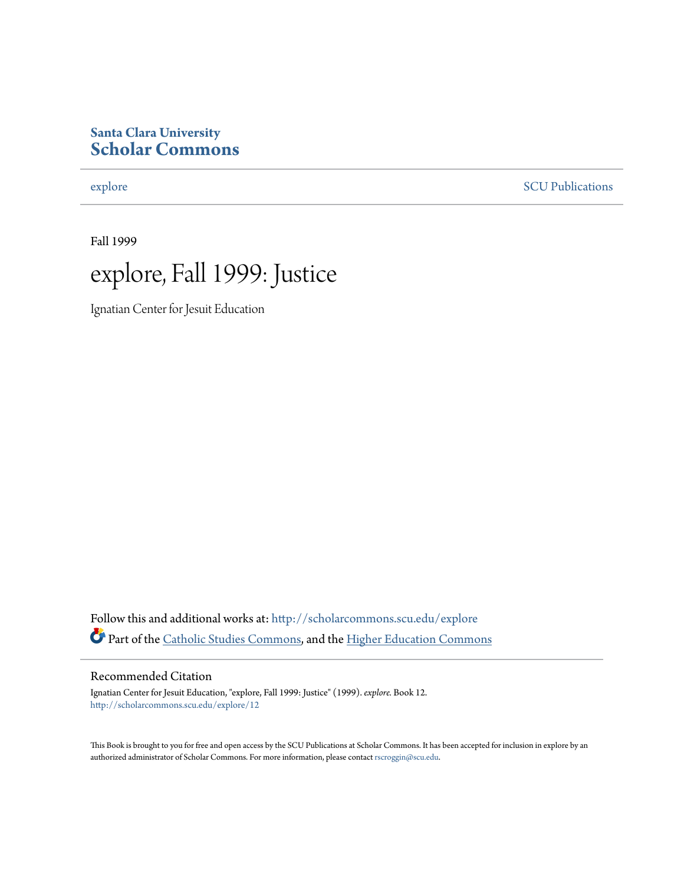#### **Santa Clara University [Scholar Commons](http://scholarcommons.scu.edu?utm_source=scholarcommons.scu.edu%2Fexplore%2F12&utm_medium=PDF&utm_campaign=PDFCoverPages)**

[explore](http://scholarcommons.scu.edu/explore?utm_source=scholarcommons.scu.edu%2Fexplore%2F12&utm_medium=PDF&utm_campaign=PDFCoverPages) [SCU Publications](http://scholarcommons.scu.edu/scu_pubs?utm_source=scholarcommons.scu.edu%2Fexplore%2F12&utm_medium=PDF&utm_campaign=PDFCoverPages)

Fall 1999



Ignatian Center for Jesuit Education

Follow this and additional works at: [http://scholarcommons.scu.edu/explore](http://scholarcommons.scu.edu/explore?utm_source=scholarcommons.scu.edu%2Fexplore%2F12&utm_medium=PDF&utm_campaign=PDFCoverPages) Part of the [Catholic Studies Commons,](http://network.bepress.com/hgg/discipline/1294?utm_source=scholarcommons.scu.edu%2Fexplore%2F12&utm_medium=PDF&utm_campaign=PDFCoverPages) and the [Higher Education Commons](http://network.bepress.com/hgg/discipline/1245?utm_source=scholarcommons.scu.edu%2Fexplore%2F12&utm_medium=PDF&utm_campaign=PDFCoverPages)

#### Recommended Citation

Ignatian Center for Jesuit Education, "explore, Fall 1999: Justice" (1999). *explore.* Book 12. [http://scholarcommons.scu.edu/explore/12](http://scholarcommons.scu.edu/explore/12?utm_source=scholarcommons.scu.edu%2Fexplore%2F12&utm_medium=PDF&utm_campaign=PDFCoverPages)

This Book is brought to you for free and open access by the SCU Publications at Scholar Commons. It has been accepted for inclusion in explore by an authorized administrator of Scholar Commons. For more information, please contact [rscroggin@scu.edu.](mailto:rscroggin@scu.edu)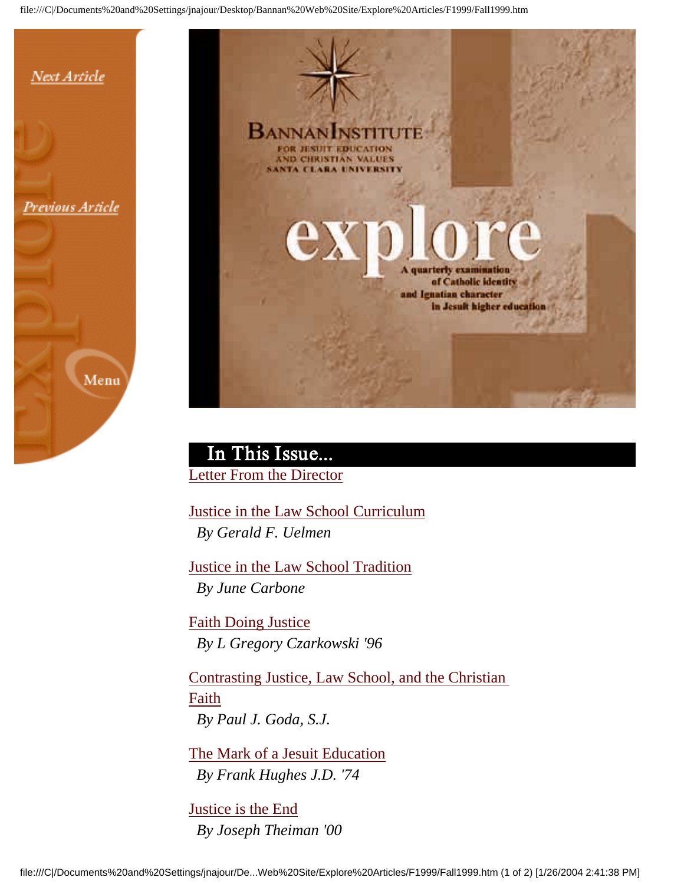

Previous Article





 In This Issue... Letter From the Director

Justice in the Law School Curriculum *By Gerald F. Uelmen*

Justice in the Law School Tradition *By June Carbone*

Faith Doing Justice *By L Gregory Czarkowski '96*

Contrasting Justice, Law School, and the Christian Faith *By Paul J. Goda, S.J.*

The Mark of a Jesuit Education *By Frank Hughes J.D. '74*

Justice is the End *By Joseph Theiman '00*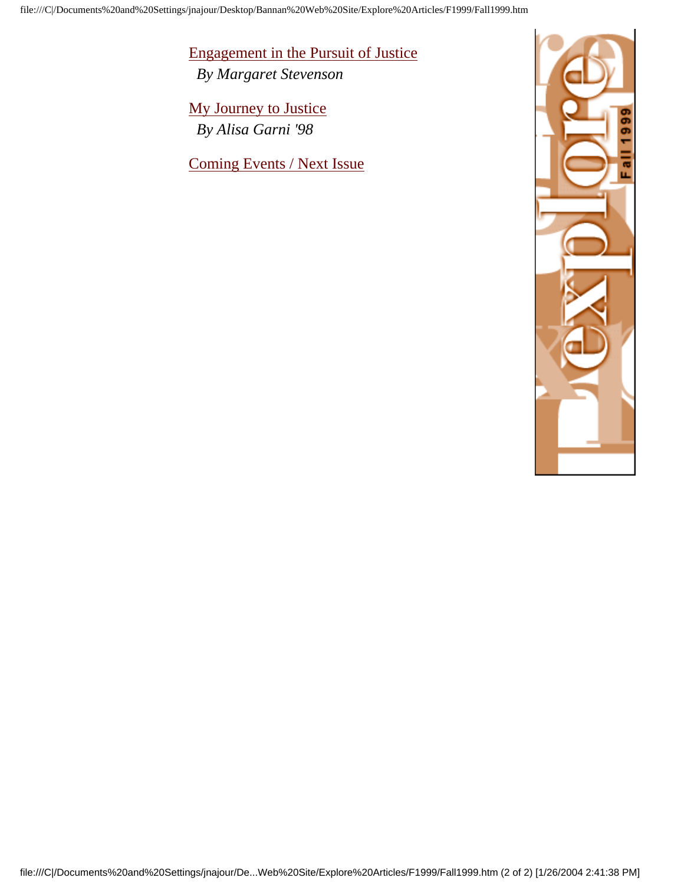Engagement in the Pursuit of Justice

*By Margaret Stevenson*

My Journey to Justice *By Alisa Garni '98*

Coming Events / Next Issue

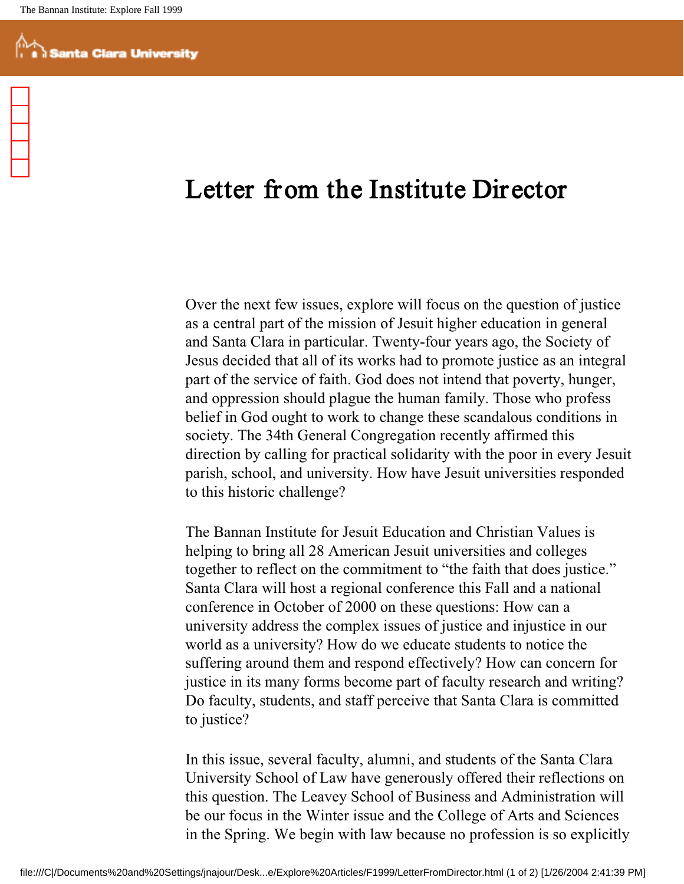## Letter from the Institute Dir ector

Over the next few issues, explore will focus on the question of justice as a central part of the mission of Jesuit higher education in general and Santa Clara in particular. Twenty-four years ago, the Society of Jesus decided that all of its works had to promote justice as an integral part of the service of faith. God does not intend that poverty, hunger, and oppression should plague the human family. Those who profess belief in God ought to work to change these scandalous conditions in society. The 34th General Congregation recently affirmed this direction by calling for practical solidarity with the poor in every Jesuit parish, school, and university. How have Jesuit universities responded to this historic challenge?

The Bannan Institute for Jesuit Education and Christian Values is helping to bring all 28 American Jesuit universities and colleges together to reflect on the commitment to "the faith that does justice." Santa Clara will host a regional conference this Fall and a national conference in October of 2000 on these questions: How can a university address the complex issues of justice and injustice in our world as a university? How do we educate students to notice the suffering around them and respond effectively? How can concern for justice in its many forms become part of faculty research and writing? Do faculty, students, and staff perceive that Santa Clara is committed to justice?

In this issue, several faculty, alumni, and students of the Santa Clara University School of Law have generously offered their reflections on this question. The Leavey School of Business and Administration will be our focus in the Winter issue and the College of Arts and Sciences in the Spring. We begin with law because no profession is so explicitly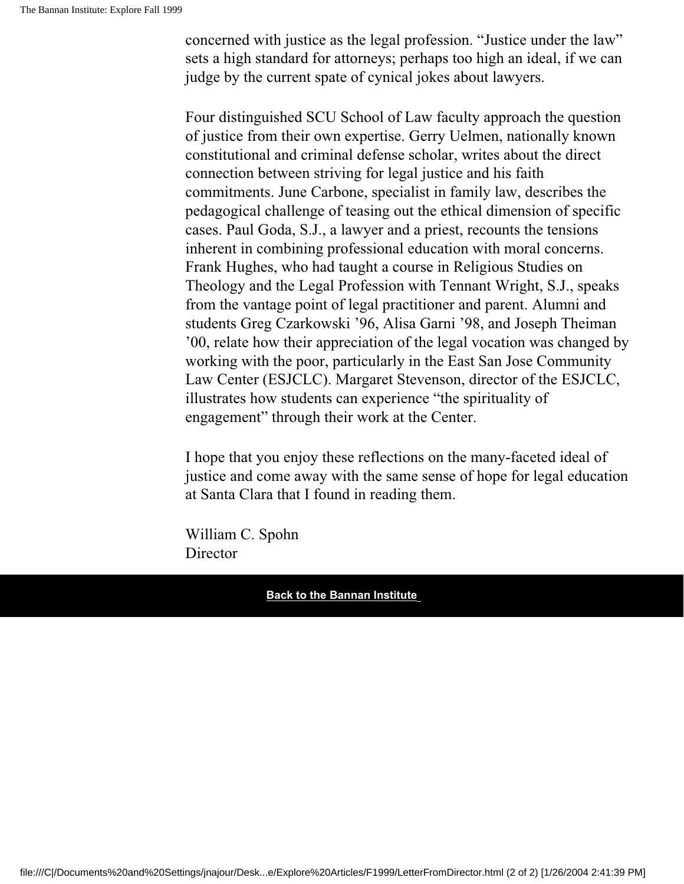concerned with justice as the legal profession. "Justice under the law" sets a high standard for attorneys; perhaps too high an ideal, if we can judge by the current spate of cynical jokes about lawyers.

Four distinguished SCU School of Law faculty approach the question of justice from their own expertise. Gerry Uelmen, nationally known constitutional and criminal defense scholar, writes about the direct connection between striving for legal justice and his faith commitments. June Carbone, specialist in family law, describes the pedagogical challenge of teasing out the ethical dimension of specific cases. Paul Goda, S.J., a lawyer and a priest, recounts the tensions inherent in combining professional education with moral concerns. Frank Hughes, who had taught a course in Religious Studies on Theology and the Legal Profession with Tennant Wright, S.J., speaks from the vantage point of legal practitioner and parent. Alumni and students Greg Czarkowski '96, Alisa Garni '98, and Joseph Theiman '00, relate how their appreciation of the legal vocation was changed by working with the poor, particularly in the East San Jose Community Law Center (ESJCLC). Margaret Stevenson, director of the ESJCLC, illustrates how students can experience "the spirituality of engagement" through their work at the Center.

I hope that you enjoy these reflections on the many-faceted ideal of justice and come away with the same sense of hope for legal education at Santa Clara that I found in reading them.

William C. Spohn Director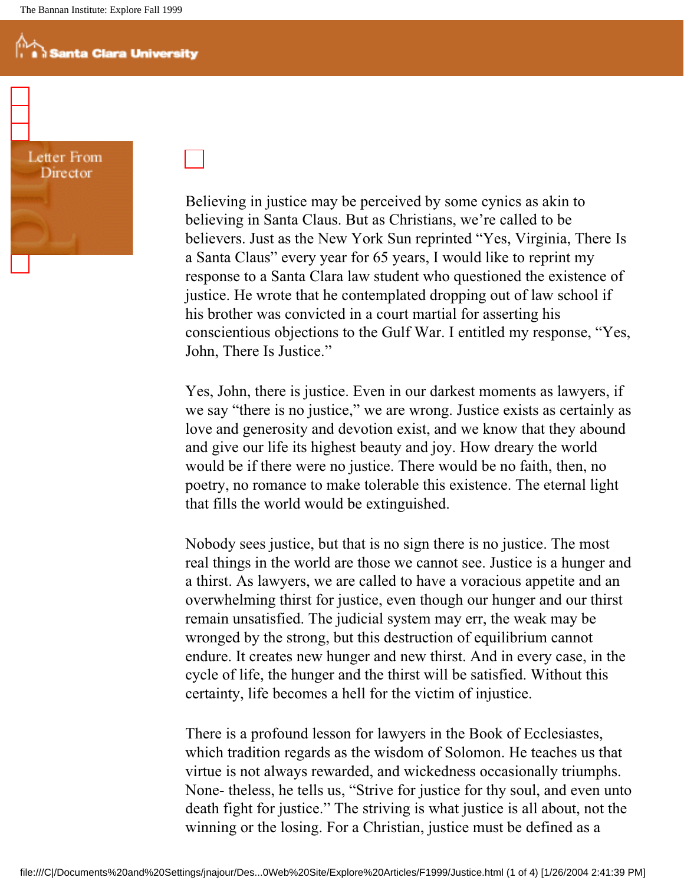Letter From Director

Believing in justice may be perceived by some cynics as akin to believing in Santa Claus. But as Christians, we're called to be believers. Just as the New York Sun reprinted "Yes, Virginia, There Is a Santa Claus" every year for 65 years, I would like to reprint my response to a Santa Clara law student who questioned the existence of justice. He wrote that he contemplated dropping out of law school if his brother was convicted in a court martial for asserting his conscientious objections to the Gulf War. I entitled my response, "Yes, John, There Is Justice."

Yes, John, there is justice. Even in our darkest moments as lawyers, if we say "there is no justice," we are wrong. Justice exists as certainly as love and generosity and devotion exist, and we know that they abound and give our life its highest beauty and joy. How dreary the world would be if there were no justice. There would be no faith, then, no poetry, no romance to make tolerable this existence. The eternal light that fills the world would be extinguished.

Nobody sees justice, but that is no sign there is no justice. The most real things in the world are those we cannot see. Justice is a hunger and a thirst. As lawyers, we are called to have a voracious appetite and an overwhelming thirst for justice, even though our hunger and our thirst remain unsatisfied. The judicial system may err, the weak may be wronged by the strong, but this destruction of equilibrium cannot endure. It creates new hunger and new thirst. And in every case, in the cycle of life, the hunger and the thirst will be satisfied. Without this certainty, life becomes a hell for the victim of injustice.

There is a profound lesson for lawyers in the Book of Ecclesiastes, which tradition regards as the wisdom of Solomon. He teaches us that virtue is not always rewarded, and wickedness occasionally triumphs. None- theless, he tells us, "Strive for justice for thy soul, and even unto death fight for justice." The striving is what justice is all about, not the winning or the losing. For a Christian, justice must be defined as a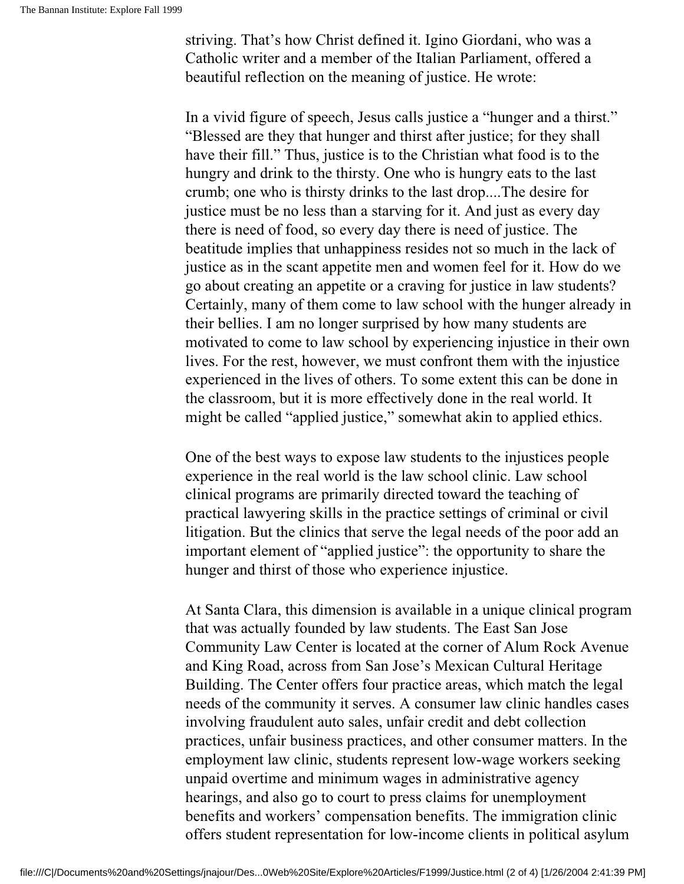striving. That's how Christ defined it. Igino Giordani, who was a Catholic writer and a member of the Italian Parliament, offered a beautiful reflection on the meaning of justice. He wrote:

In a vivid figure of speech, Jesus calls justice a "hunger and a thirst." "Blessed are they that hunger and thirst after justice; for they shall have their fill." Thus, justice is to the Christian what food is to the hungry and drink to the thirsty. One who is hungry eats to the last crumb; one who is thirsty drinks to the last drop....The desire for justice must be no less than a starving for it. And just as every day there is need of food, so every day there is need of justice. The beatitude implies that unhappiness resides not so much in the lack of justice as in the scant appetite men and women feel for it. How do we go about creating an appetite or a craving for justice in law students? Certainly, many of them come to law school with the hunger already in their bellies. I am no longer surprised by how many students are motivated to come to law school by experiencing injustice in their own lives. For the rest, however, we must confront them with the injustice experienced in the lives of others. To some extent this can be done in the classroom, but it is more effectively done in the real world. It might be called "applied justice," somewhat akin to applied ethics.

One of the best ways to expose law students to the injustices people experience in the real world is the law school clinic. Law school clinical programs are primarily directed toward the teaching of practical lawyering skills in the practice settings of criminal or civil litigation. But the clinics that serve the legal needs of the poor add an important element of "applied justice": the opportunity to share the hunger and thirst of those who experience injustice.

At Santa Clara, this dimension is available in a unique clinical program that was actually founded by law students. The East San Jose Community Law Center is located at the corner of Alum Rock Avenue and King Road, across from San Jose's Mexican Cultural Heritage Building. The Center offers four practice areas, which match the legal needs of the community it serves. A consumer law clinic handles cases involving fraudulent auto sales, unfair credit and debt collection practices, unfair business practices, and other consumer matters. In the employment law clinic, students represent low-wage workers seeking unpaid overtime and minimum wages in administrative agency hearings, and also go to court to press claims for unemployment benefits and workers' compensation benefits. The immigration clinic offers student representation for low-income clients in political asylum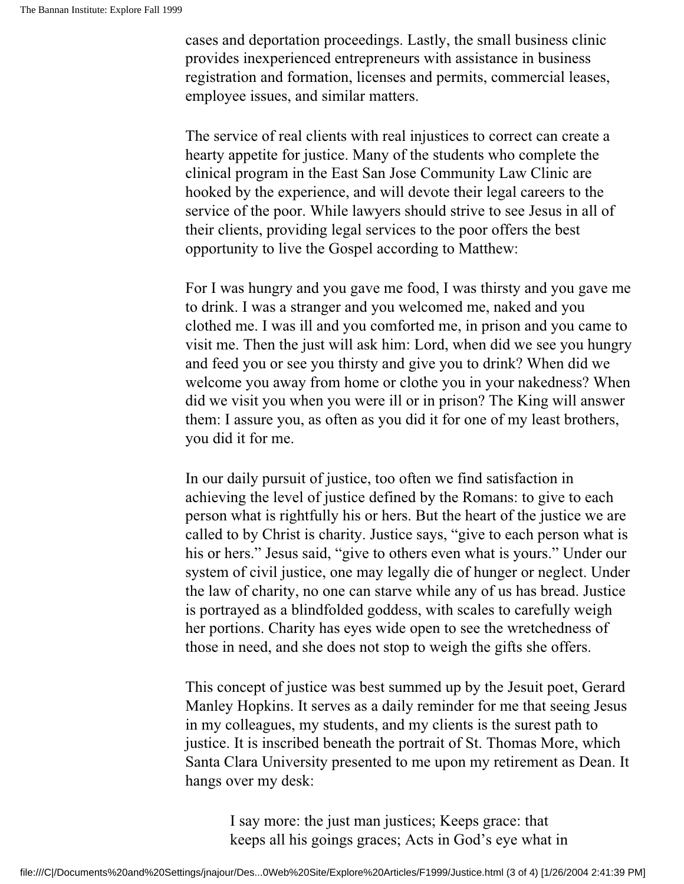cases and deportation proceedings. Lastly, the small business clinic provides inexperienced entrepreneurs with assistance in business registration and formation, licenses and permits, commercial leases, employee issues, and similar matters.

The service of real clients with real injustices to correct can create a hearty appetite for justice. Many of the students who complete the clinical program in the East San Jose Community Law Clinic are hooked by the experience, and will devote their legal careers to the service of the poor. While lawyers should strive to see Jesus in all of their clients, providing legal services to the poor offers the best opportunity to live the Gospel according to Matthew:

For I was hungry and you gave me food, I was thirsty and you gave me to drink. I was a stranger and you welcomed me, naked and you clothed me. I was ill and you comforted me, in prison and you came to visit me. Then the just will ask him: Lord, when did we see you hungry and feed you or see you thirsty and give you to drink? When did we welcome you away from home or clothe you in your nakedness? When did we visit you when you were ill or in prison? The King will answer them: I assure you, as often as you did it for one of my least brothers, you did it for me.

In our daily pursuit of justice, too often we find satisfaction in achieving the level of justice defined by the Romans: to give to each person what is rightfully his or hers. But the heart of the justice we are called to by Christ is charity. Justice says, "give to each person what is his or hers." Jesus said, "give to others even what is yours." Under our system of civil justice, one may legally die of hunger or neglect. Under the law of charity, no one can starve while any of us has bread. Justice is portrayed as a blindfolded goddess, with scales to carefully weigh her portions. Charity has eyes wide open to see the wretchedness of those in need, and she does not stop to weigh the gifts she offers.

This concept of justice was best summed up by the Jesuit poet, Gerard Manley Hopkins. It serves as a daily reminder for me that seeing Jesus in my colleagues, my students, and my clients is the surest path to justice. It is inscribed beneath the portrait of St. Thomas More, which Santa Clara University presented to me upon my retirement as Dean. It hangs over my desk:

I say more: the just man justices; Keeps grace: that keeps all his goings graces; Acts in God's eye what in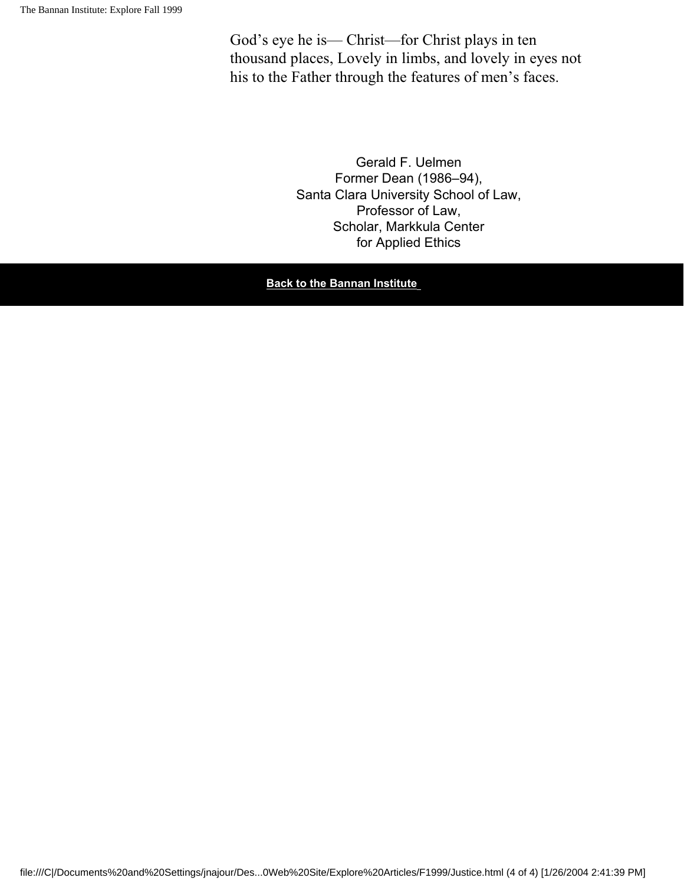God's eye he is— Christ—for Christ plays in ten thousand places, Lovely in limbs, and lovely in eyes not his to the Father through the features of men's faces.

> Gerald F. Uelmen Former Dean (1986–94), Santa Clara University School of Law, Professor of Law, Scholar, Markkula Center for Applied Ethics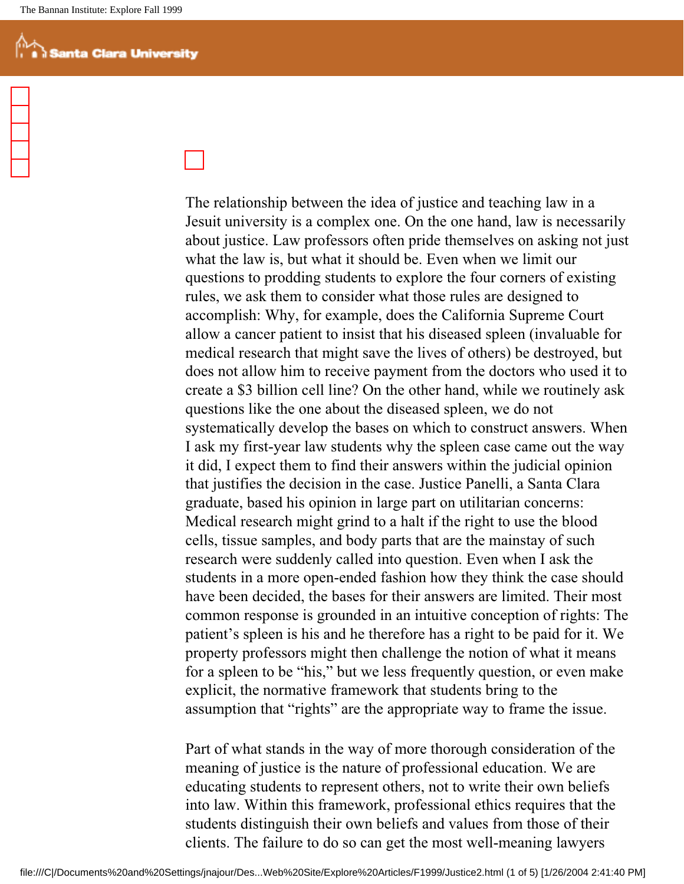The relationship between the idea of justice and teaching law in a Jesuit university is a complex one. On the one hand, law is necessarily about justice. Law professors often pride themselves on asking not just what the law is, but what it should be. Even when we limit our questions to prodding students to explore the four corners of existing rules, we ask them to consider what those rules are designed to accomplish: Why, for example, does the California Supreme Court allow a cancer patient to insist that his diseased spleen (invaluable for medical research that might save the lives of others) be destroyed, but does not allow him to receive payment from the doctors who used it to create a \$3 billion cell line? On the other hand, while we routinely ask questions like the one about the diseased spleen, we do not systematically develop the bases on which to construct answers. When I ask my first-year law students why the spleen case came out the way it did, I expect them to find their answers within the judicial opinion that justifies the decision in the case. Justice Panelli, a Santa Clara graduate, based his opinion in large part on utilitarian concerns: Medical research might grind to a halt if the right to use the blood cells, tissue samples, and body parts that are the mainstay of such research were suddenly called into question. Even when I ask the students in a more open-ended fashion how they think the case should have been decided, the bases for their answers are limited. Their most common response is grounded in an intuitive conception of rights: The patient's spleen is his and he therefore has a right to be paid for it. We property professors might then challenge the notion of what it means for a spleen to be "his," but we less frequently question, or even make explicit, the normative framework that students bring to the assumption that "rights" are the appropriate way to frame the issue.

Part of what stands in the way of more thorough consideration of the meaning of justice is the nature of professional education. We are educating students to represent others, not to write their own beliefs into law. Within this framework, professional ethics requires that the students distinguish their own beliefs and values from those of their clients. The failure to do so can get the most well-meaning lawyers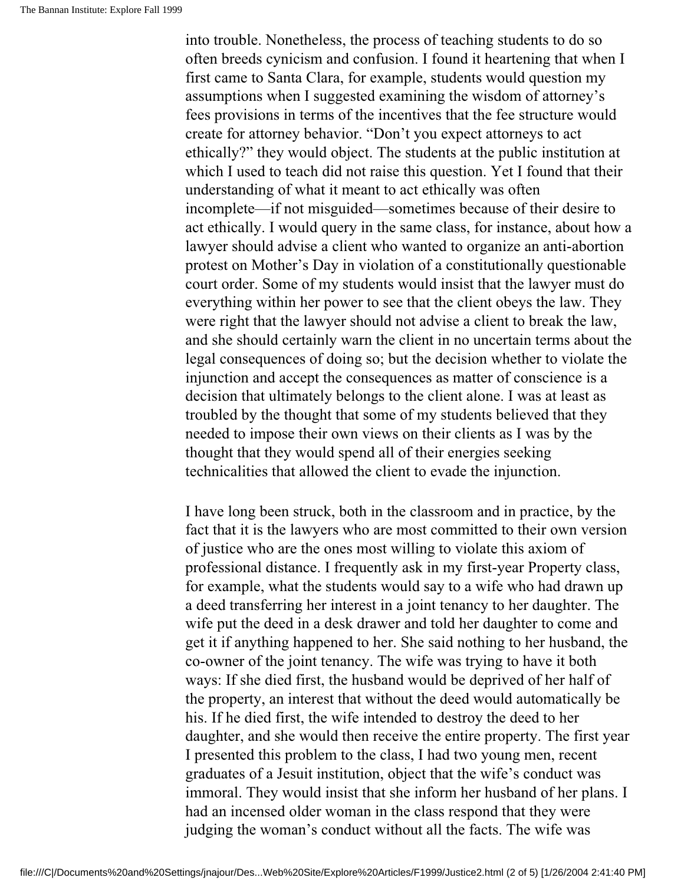into trouble. Nonetheless, the process of teaching students to do so often breeds cynicism and confusion. I found it heartening that when I first came to Santa Clara, for example, students would question my assumptions when I suggested examining the wisdom of attorney's fees provisions in terms of the incentives that the fee structure would create for attorney behavior. "Don't you expect attorneys to act ethically?" they would object. The students at the public institution at which I used to teach did not raise this question. Yet I found that their understanding of what it meant to act ethically was often incomplete—if not misguided—sometimes because of their desire to act ethically. I would query in the same class, for instance, about how a lawyer should advise a client who wanted to organize an anti-abortion protest on Mother's Day in violation of a constitutionally questionable court order. Some of my students would insist that the lawyer must do everything within her power to see that the client obeys the law. They were right that the lawyer should not advise a client to break the law, and she should certainly warn the client in no uncertain terms about the legal consequences of doing so; but the decision whether to violate the injunction and accept the consequences as matter of conscience is a decision that ultimately belongs to the client alone. I was at least as troubled by the thought that some of my students believed that they needed to impose their own views on their clients as I was by the thought that they would spend all of their energies seeking technicalities that allowed the client to evade the injunction.

I have long been struck, both in the classroom and in practice, by the fact that it is the lawyers who are most committed to their own version of justice who are the ones most willing to violate this axiom of professional distance. I frequently ask in my first-year Property class, for example, what the students would say to a wife who had drawn up a deed transferring her interest in a joint tenancy to her daughter. The wife put the deed in a desk drawer and told her daughter to come and get it if anything happened to her. She said nothing to her husband, the co-owner of the joint tenancy. The wife was trying to have it both ways: If she died first, the husband would be deprived of her half of the property, an interest that without the deed would automatically be his. If he died first, the wife intended to destroy the deed to her daughter, and she would then receive the entire property. The first year I presented this problem to the class, I had two young men, recent graduates of a Jesuit institution, object that the wife's conduct was immoral. They would insist that she inform her husband of her plans. I had an incensed older woman in the class respond that they were judging the woman's conduct without all the facts. The wife was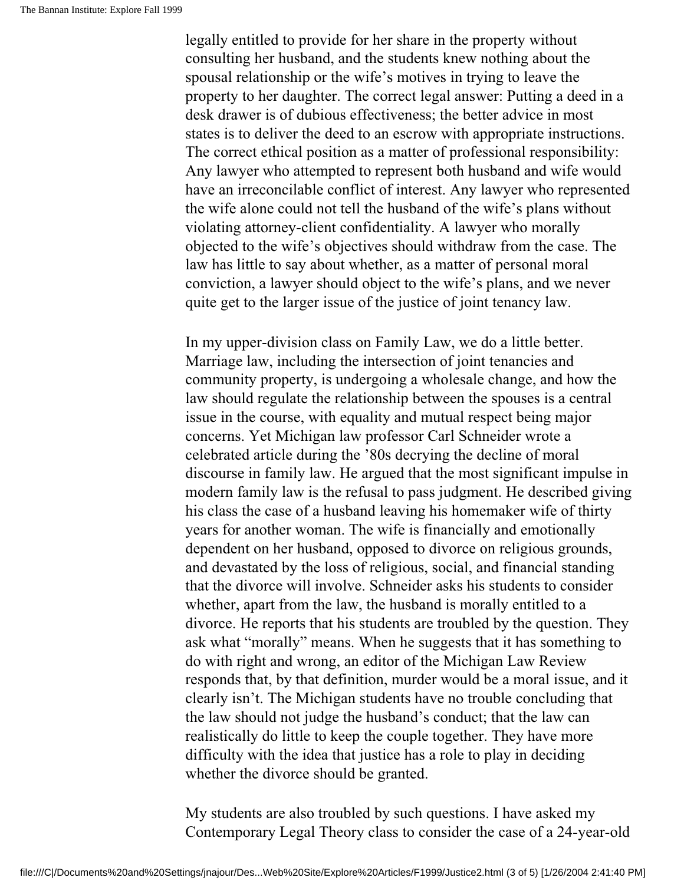legally entitled to provide for her share in the property without consulting her husband, and the students knew nothing about the spousal relationship or the wife's motives in trying to leave the property to her daughter. The correct legal answer: Putting a deed in a desk drawer is of dubious effectiveness; the better advice in most states is to deliver the deed to an escrow with appropriate instructions. The correct ethical position as a matter of professional responsibility: Any lawyer who attempted to represent both husband and wife would have an irreconcilable conflict of interest. Any lawyer who represented the wife alone could not tell the husband of the wife's plans without violating attorney-client confidentiality. A lawyer who morally objected to the wife's objectives should withdraw from the case. The law has little to say about whether, as a matter of personal moral conviction, a lawyer should object to the wife's plans, and we never quite get to the larger issue of the justice of joint tenancy law.

In my upper-division class on Family Law, we do a little better. Marriage law, including the intersection of joint tenancies and community property, is undergoing a wholesale change, and how the law should regulate the relationship between the spouses is a central issue in the course, with equality and mutual respect being major concerns. Yet Michigan law professor Carl Schneider wrote a celebrated article during the '80s decrying the decline of moral discourse in family law. He argued that the most significant impulse in modern family law is the refusal to pass judgment. He described giving his class the case of a husband leaving his homemaker wife of thirty years for another woman. The wife is financially and emotionally dependent on her husband, opposed to divorce on religious grounds, and devastated by the loss of religious, social, and financial standing that the divorce will involve. Schneider asks his students to consider whether, apart from the law, the husband is morally entitled to a divorce. He reports that his students are troubled by the question. They ask what "morally" means. When he suggests that it has something to do with right and wrong, an editor of the Michigan Law Review responds that, by that definition, murder would be a moral issue, and it clearly isn't. The Michigan students have no trouble concluding that the law should not judge the husband's conduct; that the law can realistically do little to keep the couple together. They have more difficulty with the idea that justice has a role to play in deciding whether the divorce should be granted.

My students are also troubled by such questions. I have asked my Contemporary Legal Theory class to consider the case of a 24-year-old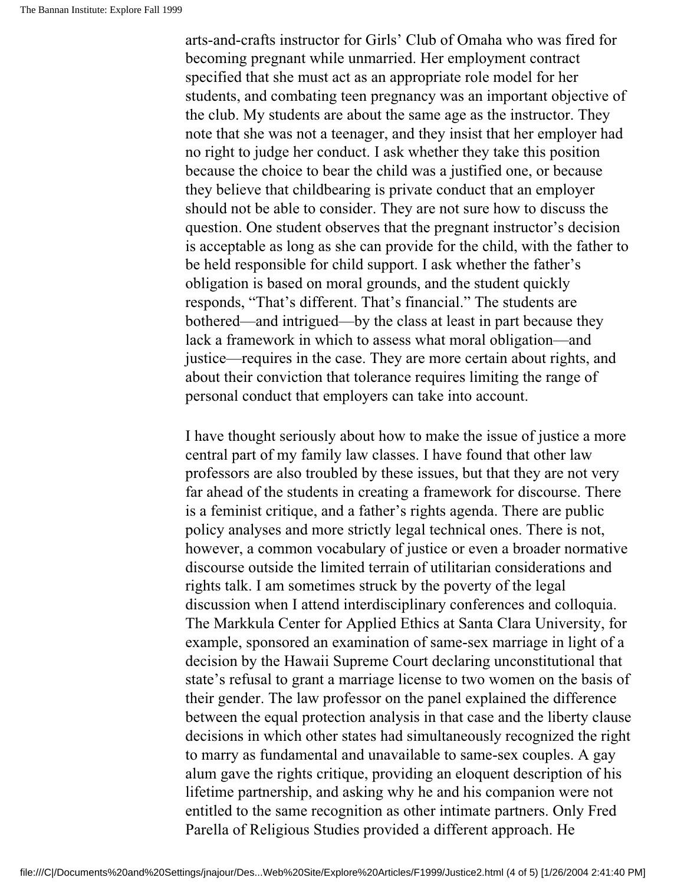arts-and-crafts instructor for Girls' Club of Omaha who was fired for becoming pregnant while unmarried. Her employment contract specified that she must act as an appropriate role model for her students, and combating teen pregnancy was an important objective of the club. My students are about the same age as the instructor. They note that she was not a teenager, and they insist that her employer had no right to judge her conduct. I ask whether they take this position because the choice to bear the child was a justified one, or because they believe that childbearing is private conduct that an employer should not be able to consider. They are not sure how to discuss the question. One student observes that the pregnant instructor's decision is acceptable as long as she can provide for the child, with the father to be held responsible for child support. I ask whether the father's obligation is based on moral grounds, and the student quickly responds, "That's different. That's financial." The students are bothered—and intrigued—by the class at least in part because they lack a framework in which to assess what moral obligation—and justice—requires in the case. They are more certain about rights, and about their conviction that tolerance requires limiting the range of personal conduct that employers can take into account.

I have thought seriously about how to make the issue of justice a more central part of my family law classes. I have found that other law professors are also troubled by these issues, but that they are not very far ahead of the students in creating a framework for discourse. There is a feminist critique, and a father's rights agenda. There are public policy analyses and more strictly legal technical ones. There is not, however, a common vocabulary of justice or even a broader normative discourse outside the limited terrain of utilitarian considerations and rights talk. I am sometimes struck by the poverty of the legal discussion when I attend interdisciplinary conferences and colloquia. The Markkula Center for Applied Ethics at Santa Clara University, for example, sponsored an examination of same-sex marriage in light of a decision by the Hawaii Supreme Court declaring unconstitutional that state's refusal to grant a marriage license to two women on the basis of their gender. The law professor on the panel explained the difference between the equal protection analysis in that case and the liberty clause decisions in which other states had simultaneously recognized the right to marry as fundamental and unavailable to same-sex couples. A gay alum gave the rights critique, providing an eloquent description of his lifetime partnership, and asking why he and his companion were not entitled to the same recognition as other intimate partners. Only Fred Parella of Religious Studies provided a different approach. He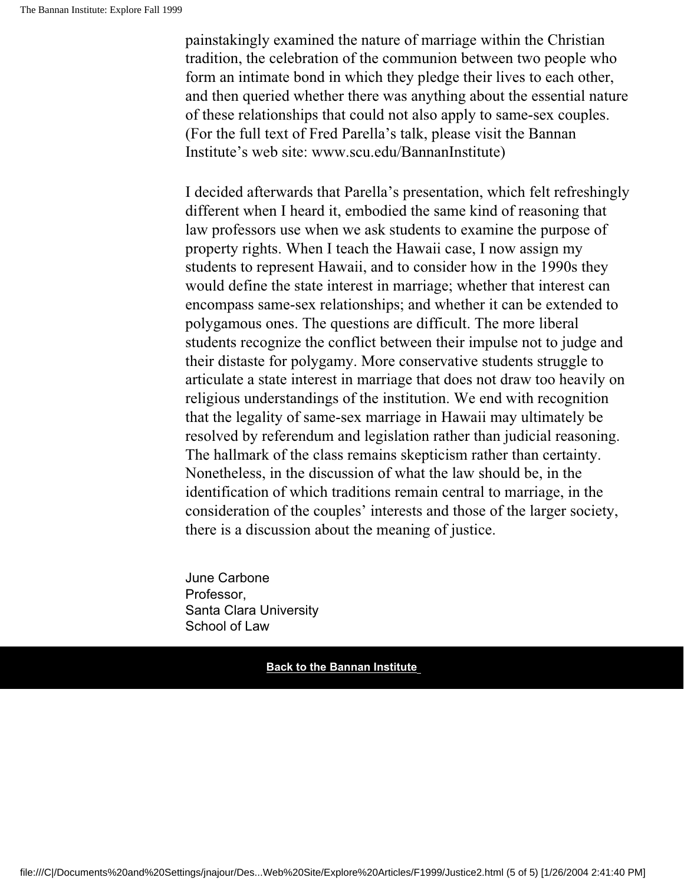painstakingly examined the nature of marriage within the Christian tradition, the celebration of the communion between two people who form an intimate bond in which they pledge their lives to each other, and then queried whether there was anything about the essential nature of these relationships that could not also apply to same-sex couples. (For the full text of Fred Parella's talk, please visit the Bannan Institute's web site: www.scu.edu/BannanInstitute)

I decided afterwards that Parella's presentation, which felt refreshingly different when I heard it, embodied the same kind of reasoning that law professors use when we ask students to examine the purpose of property rights. When I teach the Hawaii case, I now assign my students to represent Hawaii, and to consider how in the 1990s they would define the state interest in marriage; whether that interest can encompass same-sex relationships; and whether it can be extended to polygamous ones. The questions are difficult. The more liberal students recognize the conflict between their impulse not to judge and their distaste for polygamy. More conservative students struggle to articulate a state interest in marriage that does not draw too heavily on religious understandings of the institution. We end with recognition that the legality of same-sex marriage in Hawaii may ultimately be resolved by referendum and legislation rather than judicial reasoning. The hallmark of the class remains skepticism rather than certainty. Nonetheless, in the discussion of what the law should be, in the identification of which traditions remain central to marriage, in the consideration of the couples' interests and those of the larger society, there is a discussion about the meaning of justice.

June Carbone Professor, Santa Clara University School of Law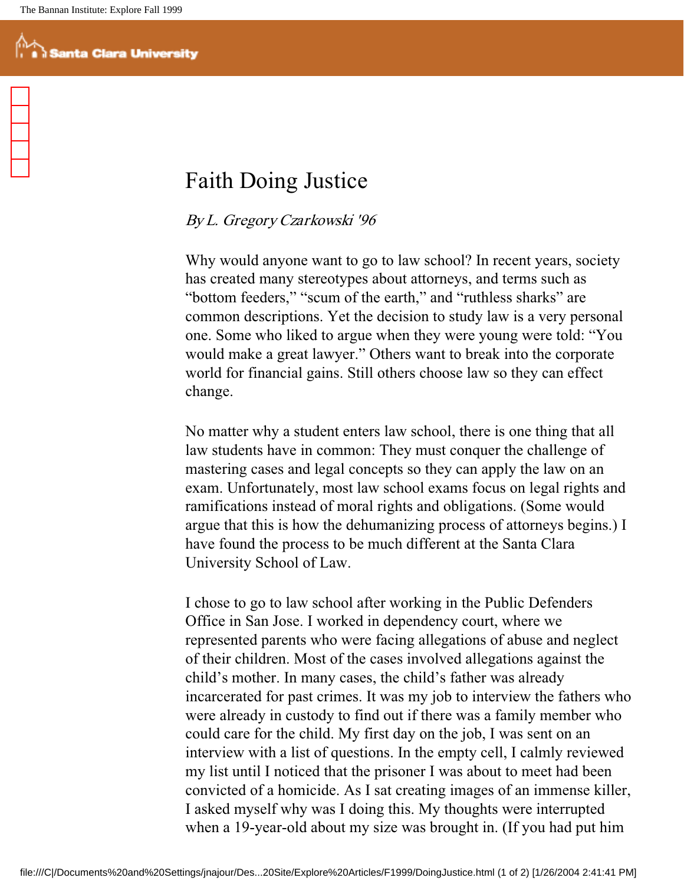### Faith Doing Justice

### By L. Gregory Czarkowski '96

Why would anyone want to go to law school? In recent years, society has created many stereotypes about attorneys, and terms such as "bottom feeders," "scum of the earth," and "ruthless sharks" are common descriptions. Yet the decision to study law is a very personal one. Some who liked to argue when they were young were told: "You would make a great lawyer." Others want to break into the corporate world for financial gains. Still others choose law so they can effect change.

No matter why a student enters law school, there is one thing that all law students have in common: They must conquer the challenge of mastering cases and legal concepts so they can apply the law on an exam. Unfortunately, most law school exams focus on legal rights and ramifications instead of moral rights and obligations. (Some would argue that this is how the dehumanizing process of attorneys begins.) I have found the process to be much different at the Santa Clara University School of Law.

I chose to go to law school after working in the Public Defenders Office in San Jose. I worked in dependency court, where we represented parents who were facing allegations of abuse and neglect of their children. Most of the cases involved allegations against the child's mother. In many cases, the child's father was already incarcerated for past crimes. It was my job to interview the fathers who were already in custody to find out if there was a family member who could care for the child. My first day on the job, I was sent on an interview with a list of questions. In the empty cell, I calmly reviewed my list until I noticed that the prisoner I was about to meet had been convicted of a homicide. As I sat creating images of an immense killer, I asked myself why was I doing this. My thoughts were interrupted when a 19-year-old about my size was brought in. (If you had put him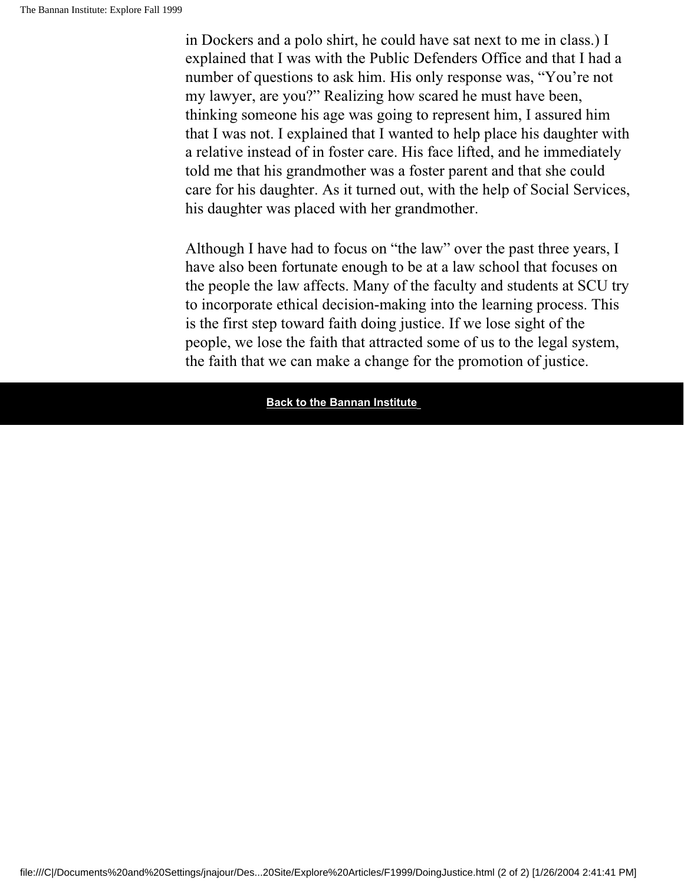in Dockers and a polo shirt, he could have sat next to me in class.) I explained that I was with the Public Defenders Office and that I had a number of questions to ask him. His only response was, "You're not my lawyer, are you?" Realizing how scared he must have been, thinking someone his age was going to represent him, I assured him that I was not. I explained that I wanted to help place his daughter with a relative instead of in foster care. His face lifted, and he immediately told me that his grandmother was a foster parent and that she could care for his daughter. As it turned out, with the help of Social Services, his daughter was placed with her grandmother.

Although I have had to focus on "the law" over the past three years, I have also been fortunate enough to be at a law school that focuses on the people the law affects. Many of the faculty and students at SCU try to incorporate ethical decision-making into the learning process. This is the first step toward faith doing justice. If we lose sight of the people, we lose the faith that attracted some of us to the legal system, the faith that we can make a change for the promotion of justice.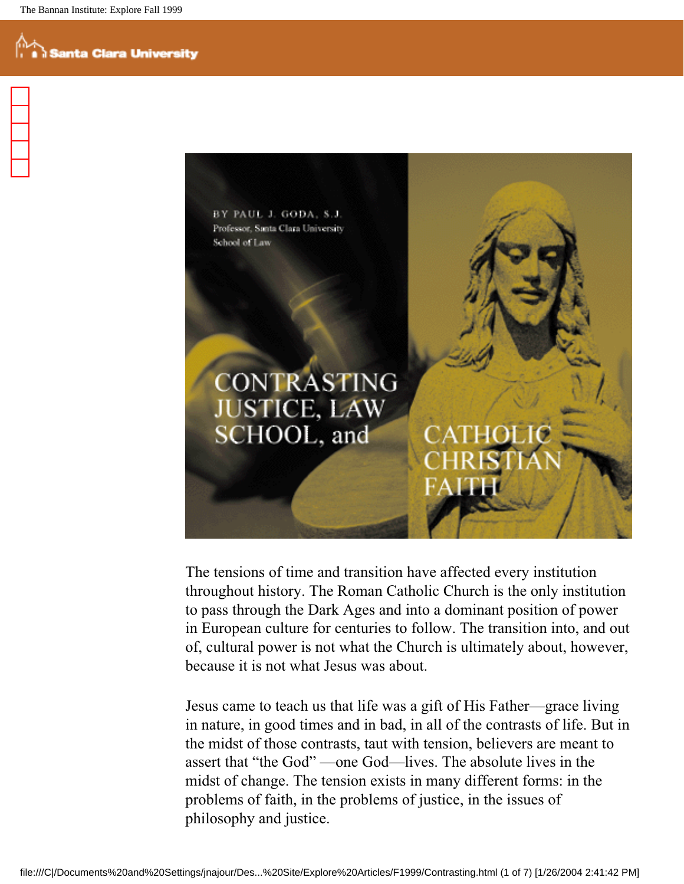BY PAUL J. GODA, S.J. Professor, Santa Clara University School of Law

## **CONTRASTING JUSTICE, LAW** SCHOOL, and

The tensions of time and transition have affected every institution throughout history. The Roman Catholic Church is the only institution to pass through the Dark Ages and into a dominant position of power in European culture for centuries to follow. The transition into, and out of, cultural power is not what the Church is ultimately about, however, because it is not what Jesus was about.

Jesus came to teach us that life was a gift of His Father—grace living in nature, in good times and in bad, in all of the contrasts of life. But in the midst of those contrasts, taut with tension, believers are meant to assert that "the God" —one God—lives. The absolute lives in the midst of change. The tension exists in many different forms: in the problems of faith, in the problems of justice, in the issues of philosophy and justice.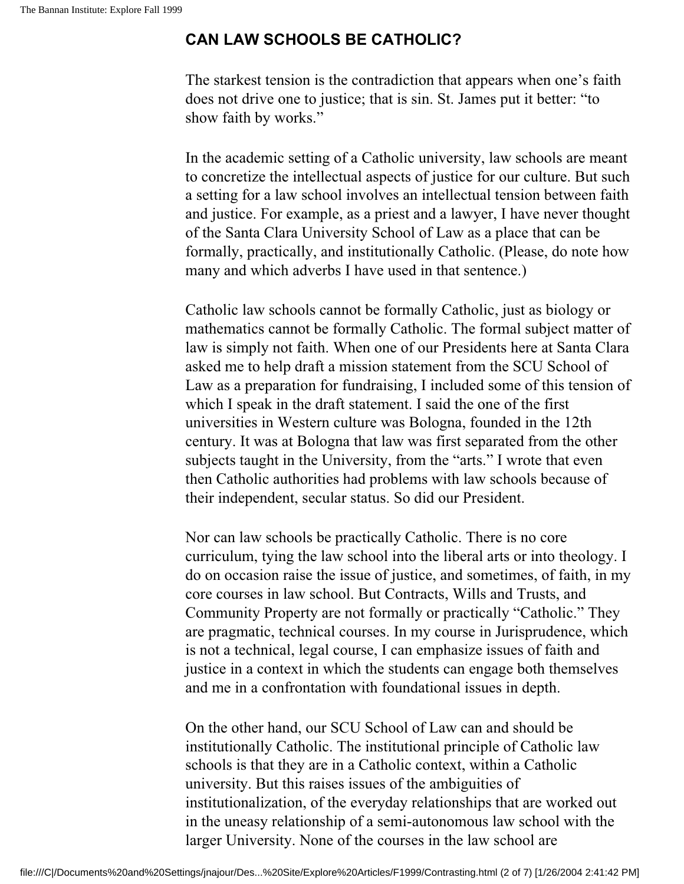#### **CAN LAW SCHOOLS BE CATHOLIC?**

The starkest tension is the contradiction that appears when one's faith does not drive one to justice; that is sin. St. James put it better: "to show faith by works."

In the academic setting of a Catholic university, law schools are meant to concretize the intellectual aspects of justice for our culture. But such a setting for a law school involves an intellectual tension between faith and justice. For example, as a priest and a lawyer, I have never thought of the Santa Clara University School of Law as a place that can be formally, practically, and institutionally Catholic. (Please, do note how many and which adverbs I have used in that sentence.)

Catholic law schools cannot be formally Catholic, just as biology or mathematics cannot be formally Catholic. The formal subject matter of law is simply not faith. When one of our Presidents here at Santa Clara asked me to help draft a mission statement from the SCU School of Law as a preparation for fundraising, I included some of this tension of which I speak in the draft statement. I said the one of the first universities in Western culture was Bologna, founded in the 12th century. It was at Bologna that law was first separated from the other subjects taught in the University, from the "arts." I wrote that even then Catholic authorities had problems with law schools because of their independent, secular status. So did our President.

Nor can law schools be practically Catholic. There is no core curriculum, tying the law school into the liberal arts or into theology. I do on occasion raise the issue of justice, and sometimes, of faith, in my core courses in law school. But Contracts, Wills and Trusts, and Community Property are not formally or practically "Catholic." They are pragmatic, technical courses. In my course in Jurisprudence, which is not a technical, legal course, I can emphasize issues of faith and justice in a context in which the students can engage both themselves and me in a confrontation with foundational issues in depth.

On the other hand, our SCU School of Law can and should be institutionally Catholic. The institutional principle of Catholic law schools is that they are in a Catholic context, within a Catholic university. But this raises issues of the ambiguities of institutionalization, of the everyday relationships that are worked out in the uneasy relationship of a semi-autonomous law school with the larger University. None of the courses in the law school are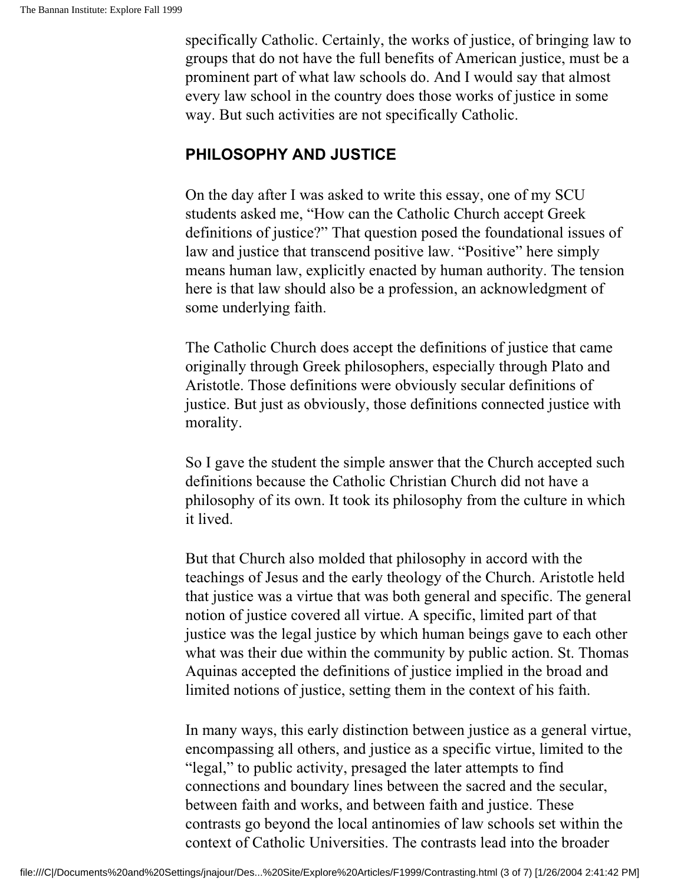specifically Catholic. Certainly, the works of justice, of bringing law to groups that do not have the full benefits of American justice, must be a prominent part of what law schools do. And I would say that almost every law school in the country does those works of justice in some way. But such activities are not specifically Catholic.

#### **PHILOSOPHY AND JUSTICE**

On the day after I was asked to write this essay, one of my SCU students asked me, "How can the Catholic Church accept Greek definitions of justice?" That question posed the foundational issues of law and justice that transcend positive law. "Positive" here simply means human law, explicitly enacted by human authority. The tension here is that law should also be a profession, an acknowledgment of some underlying faith.

The Catholic Church does accept the definitions of justice that came originally through Greek philosophers, especially through Plato and Aristotle. Those definitions were obviously secular definitions of justice. But just as obviously, those definitions connected justice with morality.

So I gave the student the simple answer that the Church accepted such definitions because the Catholic Christian Church did not have a philosophy of its own. It took its philosophy from the culture in which it lived.

But that Church also molded that philosophy in accord with the teachings of Jesus and the early theology of the Church. Aristotle held that justice was a virtue that was both general and specific. The general notion of justice covered all virtue. A specific, limited part of that justice was the legal justice by which human beings gave to each other what was their due within the community by public action. St. Thomas Aquinas accepted the definitions of justice implied in the broad and limited notions of justice, setting them in the context of his faith.

In many ways, this early distinction between justice as a general virtue, encompassing all others, and justice as a specific virtue, limited to the "legal," to public activity, presaged the later attempts to find connections and boundary lines between the sacred and the secular, between faith and works, and between faith and justice. These contrasts go beyond the local antinomies of law schools set within the context of Catholic Universities. The contrasts lead into the broader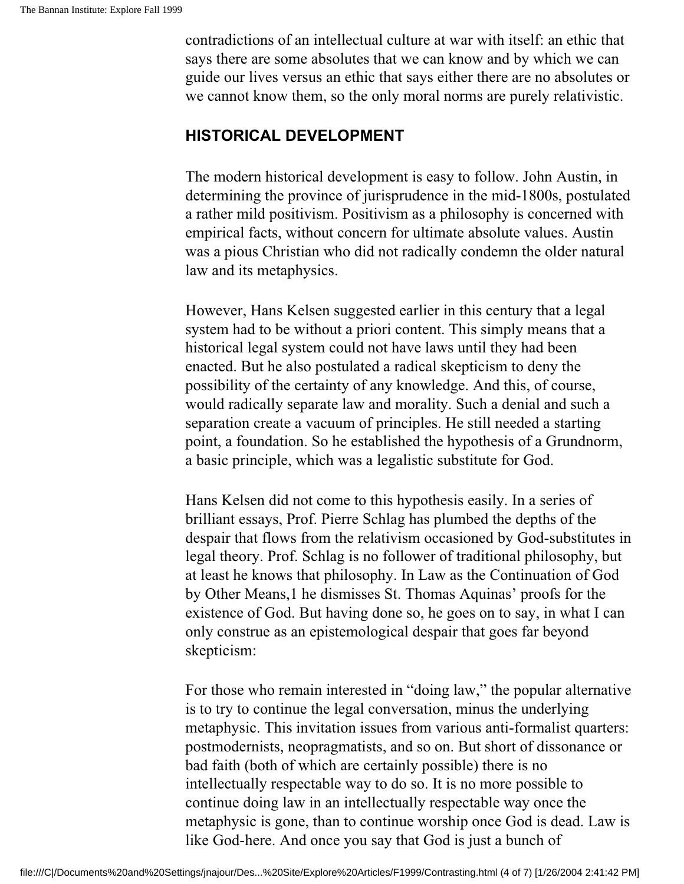contradictions of an intellectual culture at war with itself: an ethic that says there are some absolutes that we can know and by which we can guide our lives versus an ethic that says either there are no absolutes or we cannot know them, so the only moral norms are purely relativistic.

#### **HISTORICAL DEVELOPMENT**

The modern historical development is easy to follow. John Austin, in determining the province of jurisprudence in the mid-1800s, postulated a rather mild positivism. Positivism as a philosophy is concerned with empirical facts, without concern for ultimate absolute values. Austin was a pious Christian who did not radically condemn the older natural law and its metaphysics.

However, Hans Kelsen suggested earlier in this century that a legal system had to be without a priori content. This simply means that a historical legal system could not have laws until they had been enacted. But he also postulated a radical skepticism to deny the possibility of the certainty of any knowledge. And this, of course, would radically separate law and morality. Such a denial and such a separation create a vacuum of principles. He still needed a starting point, a foundation. So he established the hypothesis of a Grundnorm, a basic principle, which was a legalistic substitute for God.

Hans Kelsen did not come to this hypothesis easily. In a series of brilliant essays, Prof. Pierre Schlag has plumbed the depths of the despair that flows from the relativism occasioned by God-substitutes in legal theory. Prof. Schlag is no follower of traditional philosophy, but at least he knows that philosophy. In Law as the Continuation of God by Other Means,1 he dismisses St. Thomas Aquinas' proofs for the existence of God. But having done so, he goes on to say, in what I can only construe as an epistemological despair that goes far beyond skepticism:

For those who remain interested in "doing law," the popular alternative is to try to continue the legal conversation, minus the underlying metaphysic. This invitation issues from various anti-formalist quarters: postmodernists, neopragmatists, and so on. But short of dissonance or bad faith (both of which are certainly possible) there is no intellectually respectable way to do so. It is no more possible to continue doing law in an intellectually respectable way once the metaphysic is gone, than to continue worship once God is dead. Law is like God-here. And once you say that God is just a bunch of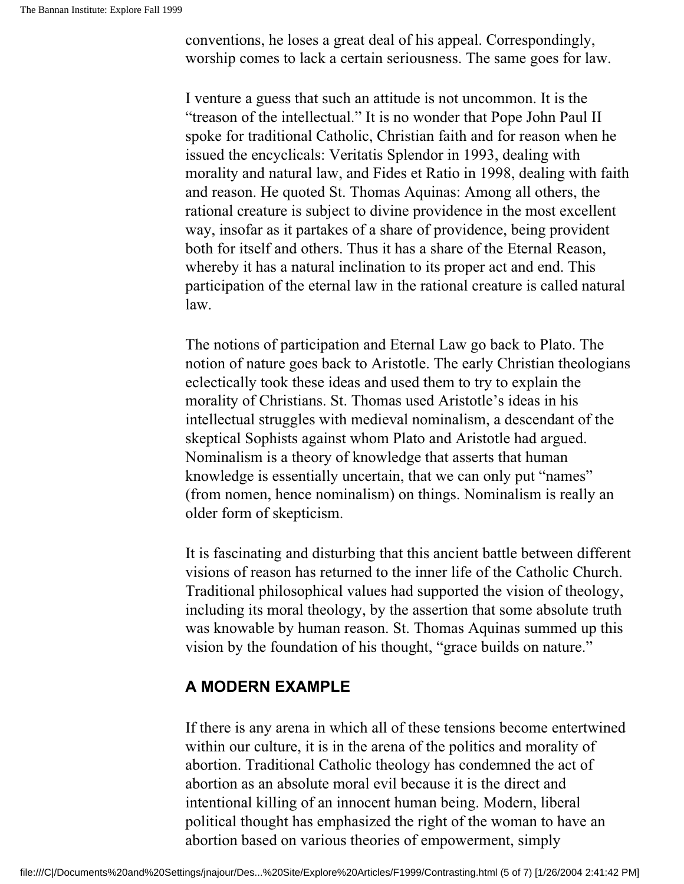conventions, he loses a great deal of his appeal. Correspondingly, worship comes to lack a certain seriousness. The same goes for law.

I venture a guess that such an attitude is not uncommon. It is the "treason of the intellectual." It is no wonder that Pope John Paul II spoke for traditional Catholic, Christian faith and for reason when he issued the encyclicals: Veritatis Splendor in 1993, dealing with morality and natural law, and Fides et Ratio in 1998, dealing with faith and reason. He quoted St. Thomas Aquinas: Among all others, the rational creature is subject to divine providence in the most excellent way, insofar as it partakes of a share of providence, being provident both for itself and others. Thus it has a share of the Eternal Reason, whereby it has a natural inclination to its proper act and end. This participation of the eternal law in the rational creature is called natural law.

The notions of participation and Eternal Law go back to Plato. The notion of nature goes back to Aristotle. The early Christian theologians eclectically took these ideas and used them to try to explain the morality of Christians. St. Thomas used Aristotle's ideas in his intellectual struggles with medieval nominalism, a descendant of the skeptical Sophists against whom Plato and Aristotle had argued. Nominalism is a theory of knowledge that asserts that human knowledge is essentially uncertain, that we can only put "names" (from nomen, hence nominalism) on things. Nominalism is really an older form of skepticism.

It is fascinating and disturbing that this ancient battle between different visions of reason has returned to the inner life of the Catholic Church. Traditional philosophical values had supported the vision of theology, including its moral theology, by the assertion that some absolute truth was knowable by human reason. St. Thomas Aquinas summed up this vision by the foundation of his thought, "grace builds on nature."

#### **A MODERN EXAMPLE**

If there is any arena in which all of these tensions become entertwined within our culture, it is in the arena of the politics and morality of abortion. Traditional Catholic theology has condemned the act of abortion as an absolute moral evil because it is the direct and intentional killing of an innocent human being. Modern, liberal political thought has emphasized the right of the woman to have an abortion based on various theories of empowerment, simply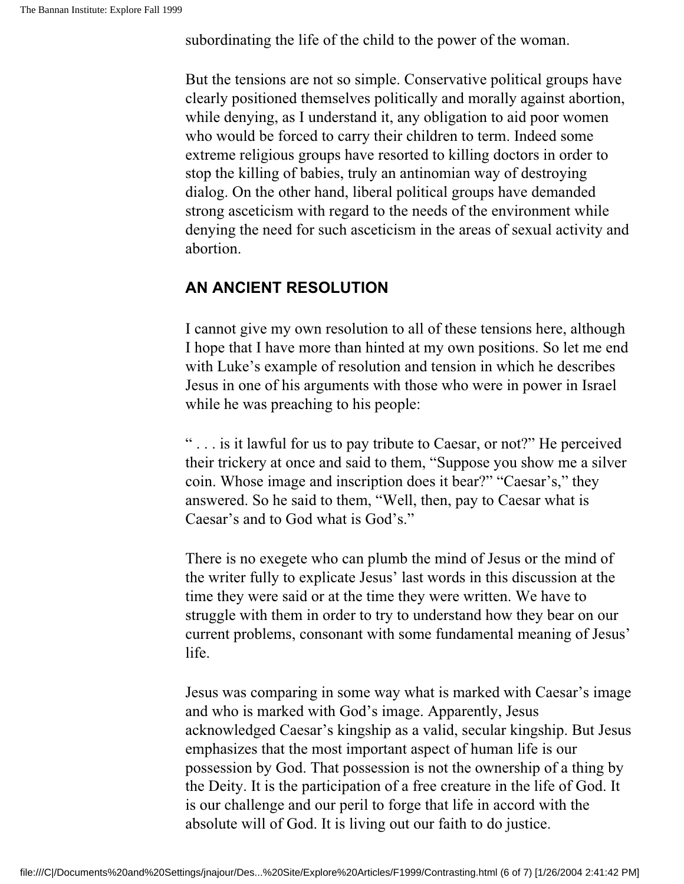subordinating the life of the child to the power of the woman.

But the tensions are not so simple. Conservative political groups have clearly positioned themselves politically and morally against abortion, while denying, as I understand it, any obligation to aid poor women who would be forced to carry their children to term. Indeed some extreme religious groups have resorted to killing doctors in order to stop the killing of babies, truly an antinomian way of destroying dialog. On the other hand, liberal political groups have demanded strong asceticism with regard to the needs of the environment while denying the need for such asceticism in the areas of sexual activity and abortion.

#### **AN ANCIENT RESOLUTION**

I cannot give my own resolution to all of these tensions here, although I hope that I have more than hinted at my own positions. So let me end with Luke's example of resolution and tension in which he describes Jesus in one of his arguments with those who were in power in Israel while he was preaching to his people:

" . . . is it lawful for us to pay tribute to Caesar, or not?" He perceived their trickery at once and said to them, "Suppose you show me a silver coin. Whose image and inscription does it bear?" "Caesar's," they answered. So he said to them, "Well, then, pay to Caesar what is Caesar's and to God what is God's."

There is no exegete who can plumb the mind of Jesus or the mind of the writer fully to explicate Jesus' last words in this discussion at the time they were said or at the time they were written. We have to struggle with them in order to try to understand how they bear on our current problems, consonant with some fundamental meaning of Jesus' life.

Jesus was comparing in some way what is marked with Caesar's image and who is marked with God's image. Apparently, Jesus acknowledged Caesar's kingship as a valid, secular kingship. But Jesus emphasizes that the most important aspect of human life is our possession by God. That possession is not the ownership of a thing by the Deity. It is the participation of a free creature in the life of God. It is our challenge and our peril to forge that life in accord with the absolute will of God. It is living out our faith to do justice.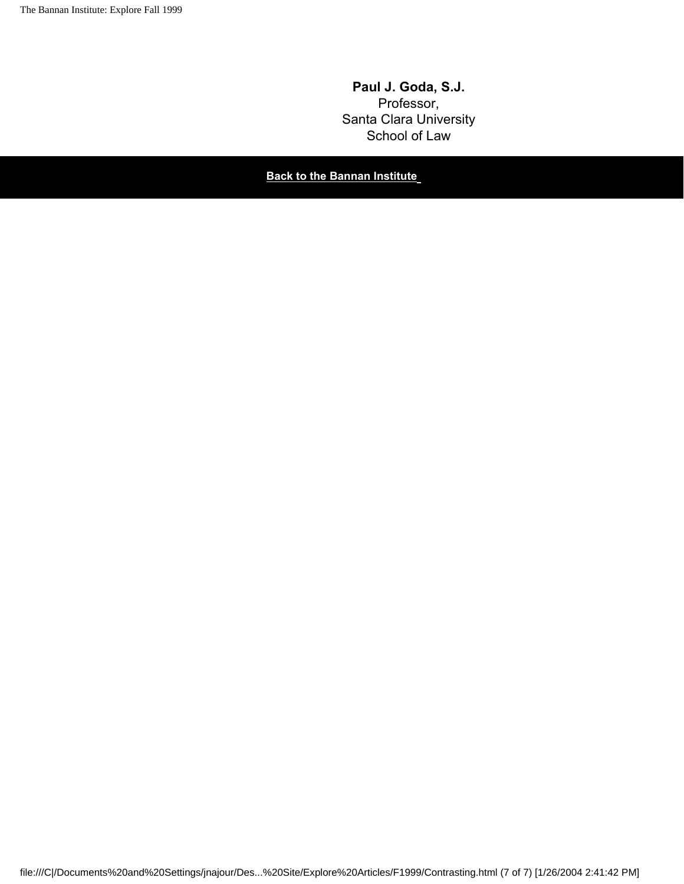**Paul J. Goda, S.J.** Professor, Santa Clara University School of Law

**Back to the Bannan Institute**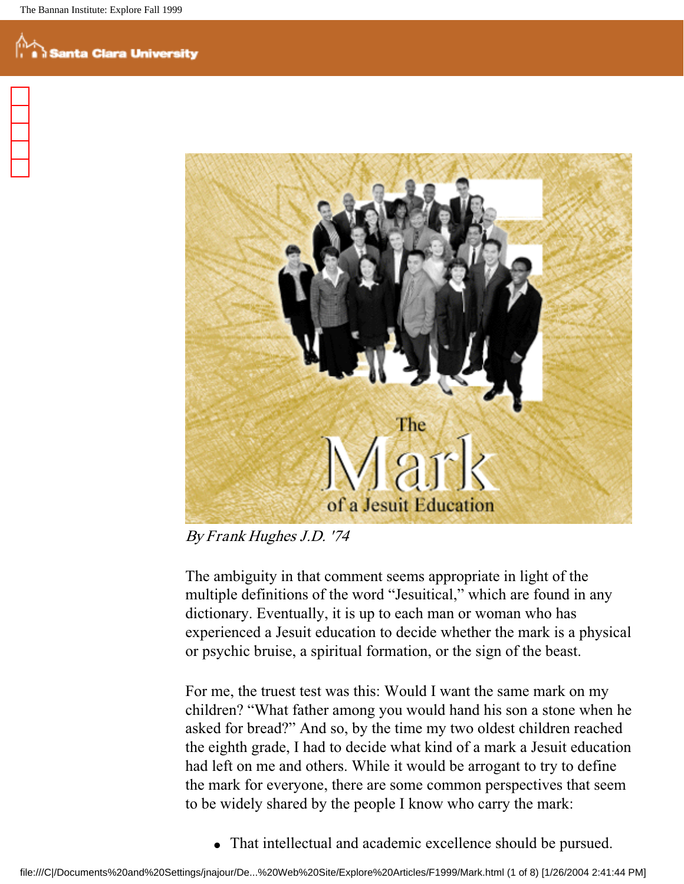

By Frank Hughes J.D. '74

The ambiguity in that comment seems appropriate in light of the multiple definitions of the word "Jesuitical," which are found in any dictionary. Eventually, it is up to each man or woman who has experienced a Jesuit education to decide whether the mark is a physical or psychic bruise, a spiritual formation, or the sign of the beast.

For me, the truest test was this: Would I want the same mark on my children? "What father among you would hand his son a stone when he asked for bread?" And so, by the time my two oldest children reached the eighth grade, I had to decide what kind of a mark a Jesuit education had left on me and others. While it would be arrogant to try to define the mark for everyone, there are some common perspectives that seem to be widely shared by the people I know who carry the mark:

• That intellectual and academic excellence should be pursued.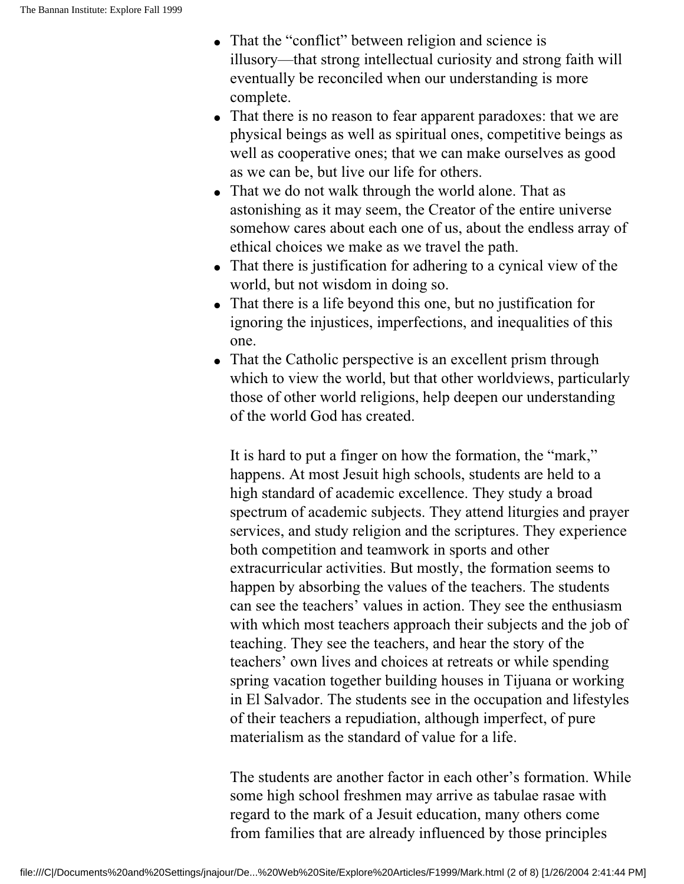- That the "conflict" between religion and science is illusory—that strong intellectual curiosity and strong faith will eventually be reconciled when our understanding is more complete.
- That there is no reason to fear apparent paradoxes: that we are physical beings as well as spiritual ones, competitive beings as well as cooperative ones; that we can make ourselves as good as we can be, but live our life for others.
- That we do not walk through the world alone. That as astonishing as it may seem, the Creator of the entire universe somehow cares about each one of us, about the endless array of ethical choices we make as we travel the path.
- That there is justification for adhering to a cynical view of the world, but not wisdom in doing so.
- That there is a life beyond this one, but no justification for ignoring the injustices, imperfections, and inequalities of this one.
- That the Catholic perspective is an excellent prism through which to view the world, but that other worldviews, particularly those of other world religions, help deepen our understanding of the world God has created.

It is hard to put a finger on how the formation, the "mark," happens. At most Jesuit high schools, students are held to a high standard of academic excellence. They study a broad spectrum of academic subjects. They attend liturgies and prayer services, and study religion and the scriptures. They experience both competition and teamwork in sports and other extracurricular activities. But mostly, the formation seems to happen by absorbing the values of the teachers. The students can see the teachers' values in action. They see the enthusiasm with which most teachers approach their subjects and the job of teaching. They see the teachers, and hear the story of the teachers' own lives and choices at retreats or while spending spring vacation together building houses in Tijuana or working in El Salvador. The students see in the occupation and lifestyles of their teachers a repudiation, although imperfect, of pure materialism as the standard of value for a life.

The students are another factor in each other's formation. While some high school freshmen may arrive as tabulae rasae with regard to the mark of a Jesuit education, many others come from families that are already influenced by those principles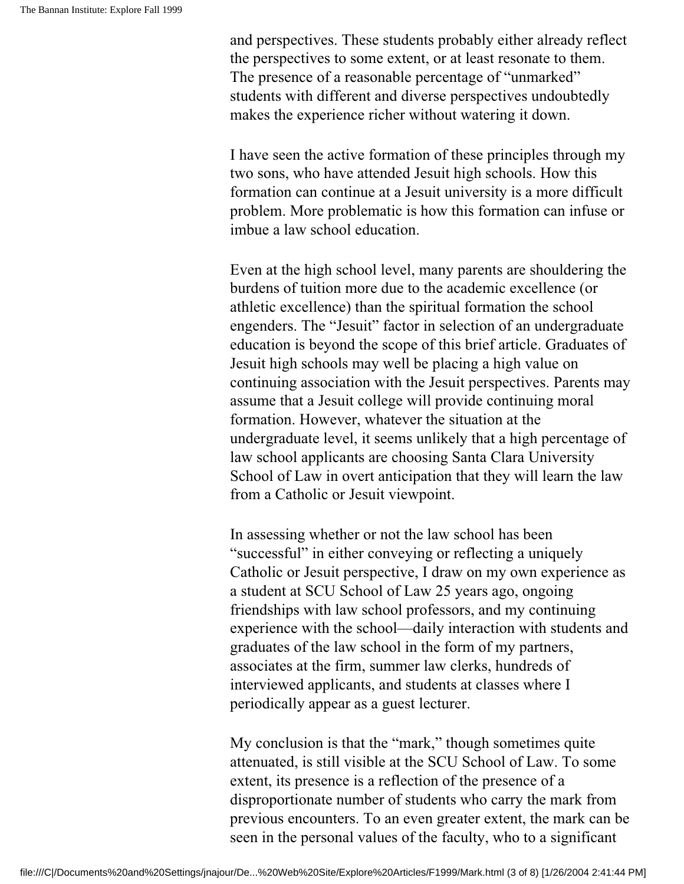and perspectives. These students probably either already reflect the perspectives to some extent, or at least resonate to them. The presence of a reasonable percentage of "unmarked" students with different and diverse perspectives undoubtedly makes the experience richer without watering it down.

I have seen the active formation of these principles through my two sons, who have attended Jesuit high schools. How this formation can continue at a Jesuit university is a more difficult problem. More problematic is how this formation can infuse or imbue a law school education.

Even at the high school level, many parents are shouldering the burdens of tuition more due to the academic excellence (or athletic excellence) than the spiritual formation the school engenders. The "Jesuit" factor in selection of an undergraduate education is beyond the scope of this brief article. Graduates of Jesuit high schools may well be placing a high value on continuing association with the Jesuit perspectives. Parents may assume that a Jesuit college will provide continuing moral formation. However, whatever the situation at the undergraduate level, it seems unlikely that a high percentage of law school applicants are choosing Santa Clara University School of Law in overt anticipation that they will learn the law from a Catholic or Jesuit viewpoint.

In assessing whether or not the law school has been "successful" in either conveying or reflecting a uniquely Catholic or Jesuit perspective, I draw on my own experience as a student at SCU School of Law 25 years ago, ongoing friendships with law school professors, and my continuing experience with the school—daily interaction with students and graduates of the law school in the form of my partners, associates at the firm, summer law clerks, hundreds of interviewed applicants, and students at classes where I periodically appear as a guest lecturer.

My conclusion is that the "mark," though sometimes quite attenuated, is still visible at the SCU School of Law. To some extent, its presence is a reflection of the presence of a disproportionate number of students who carry the mark from previous encounters. To an even greater extent, the mark can be seen in the personal values of the faculty, who to a significant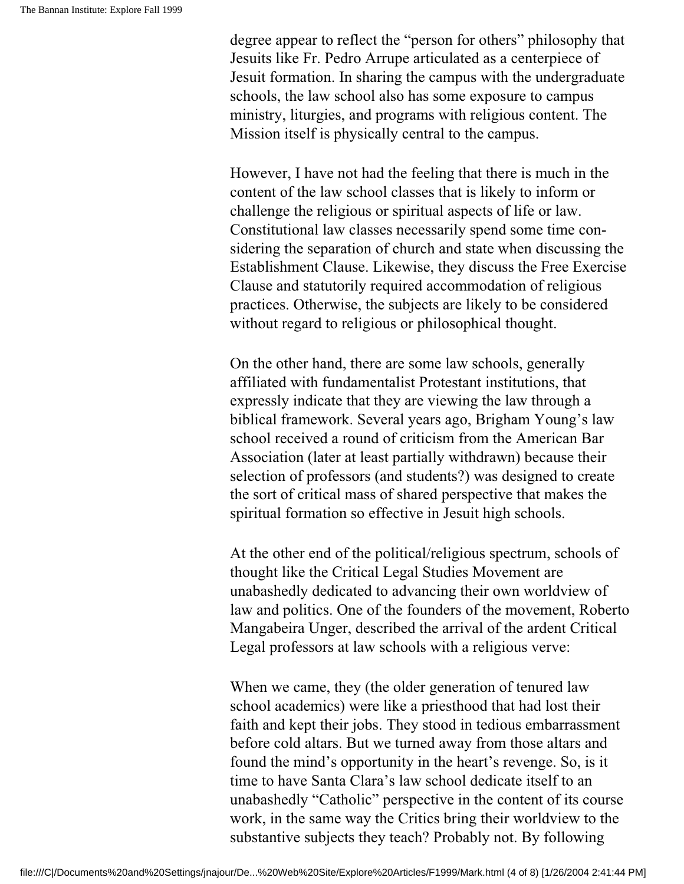degree appear to reflect the "person for others" philosophy that Jesuits like Fr. Pedro Arrupe articulated as a centerpiece of Jesuit formation. In sharing the campus with the undergraduate schools, the law school also has some exposure to campus ministry, liturgies, and programs with religious content. The Mission itself is physically central to the campus.

However, I have not had the feeling that there is much in the content of the law school classes that is likely to inform or challenge the religious or spiritual aspects of life or law. Constitutional law classes necessarily spend some time considering the separation of church and state when discussing the Establishment Clause. Likewise, they discuss the Free Exercise Clause and statutorily required accommodation of religious practices. Otherwise, the subjects are likely to be considered without regard to religious or philosophical thought.

On the other hand, there are some law schools, generally affiliated with fundamentalist Protestant institutions, that expressly indicate that they are viewing the law through a biblical framework. Several years ago, Brigham Young's law school received a round of criticism from the American Bar Association (later at least partially withdrawn) because their selection of professors (and students?) was designed to create the sort of critical mass of shared perspective that makes the spiritual formation so effective in Jesuit high schools.

At the other end of the political/religious spectrum, schools of thought like the Critical Legal Studies Movement are unabashedly dedicated to advancing their own worldview of law and politics. One of the founders of the movement, Roberto Mangabeira Unger, described the arrival of the ardent Critical Legal professors at law schools with a religious verve:

When we came, they (the older generation of tenured law school academics) were like a priesthood that had lost their faith and kept their jobs. They stood in tedious embarrassment before cold altars. But we turned away from those altars and found the mind's opportunity in the heart's revenge. So, is it time to have Santa Clara's law school dedicate itself to an unabashedly "Catholic" perspective in the content of its course work, in the same way the Critics bring their worldview to the substantive subjects they teach? Probably not. By following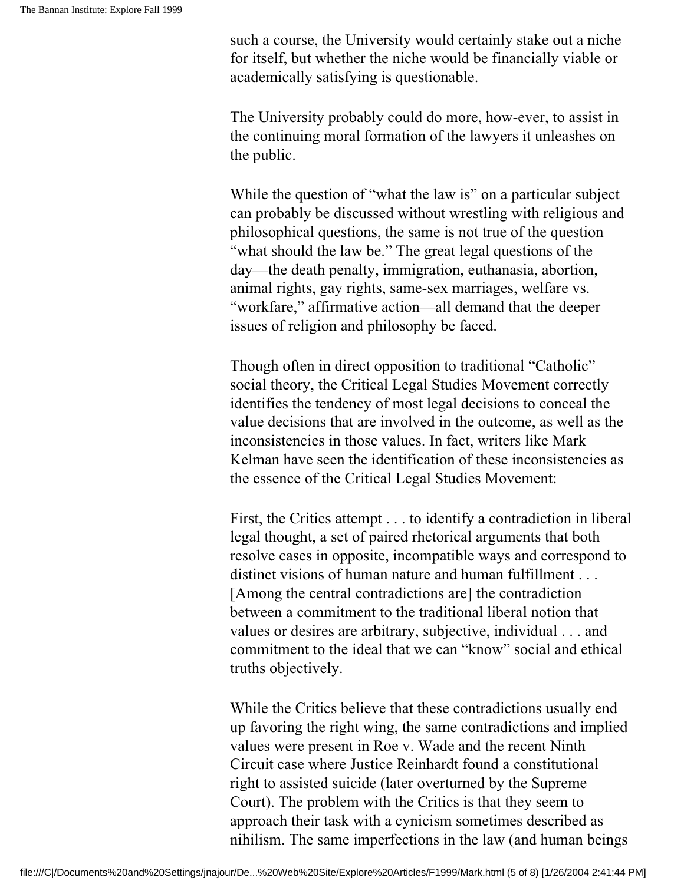such a course, the University would certainly stake out a niche for itself, but whether the niche would be financially viable or academically satisfying is questionable.

The University probably could do more, how-ever, to assist in the continuing moral formation of the lawyers it unleashes on the public.

While the question of "what the law is" on a particular subject can probably be discussed without wrestling with religious and philosophical questions, the same is not true of the question "what should the law be." The great legal questions of the day—the death penalty, immigration, euthanasia, abortion, animal rights, gay rights, same-sex marriages, welfare vs. "workfare," affirmative action—all demand that the deeper issues of religion and philosophy be faced.

Though often in direct opposition to traditional "Catholic" social theory, the Critical Legal Studies Movement correctly identifies the tendency of most legal decisions to conceal the value decisions that are involved in the outcome, as well as the inconsistencies in those values. In fact, writers like Mark Kelman have seen the identification of these inconsistencies as the essence of the Critical Legal Studies Movement:

First, the Critics attempt . . . to identify a contradiction in liberal legal thought, a set of paired rhetorical arguments that both resolve cases in opposite, incompatible ways and correspond to distinct visions of human nature and human fulfillment . . . [Among the central contradictions are] the contradiction between a commitment to the traditional liberal notion that values or desires are arbitrary, subjective, individual . . . and commitment to the ideal that we can "know" social and ethical truths objectively.

While the Critics believe that these contradictions usually end up favoring the right wing, the same contradictions and implied values were present in Roe v. Wade and the recent Ninth Circuit case where Justice Reinhardt found a constitutional right to assisted suicide (later overturned by the Supreme Court). The problem with the Critics is that they seem to approach their task with a cynicism sometimes described as nihilism. The same imperfections in the law (and human beings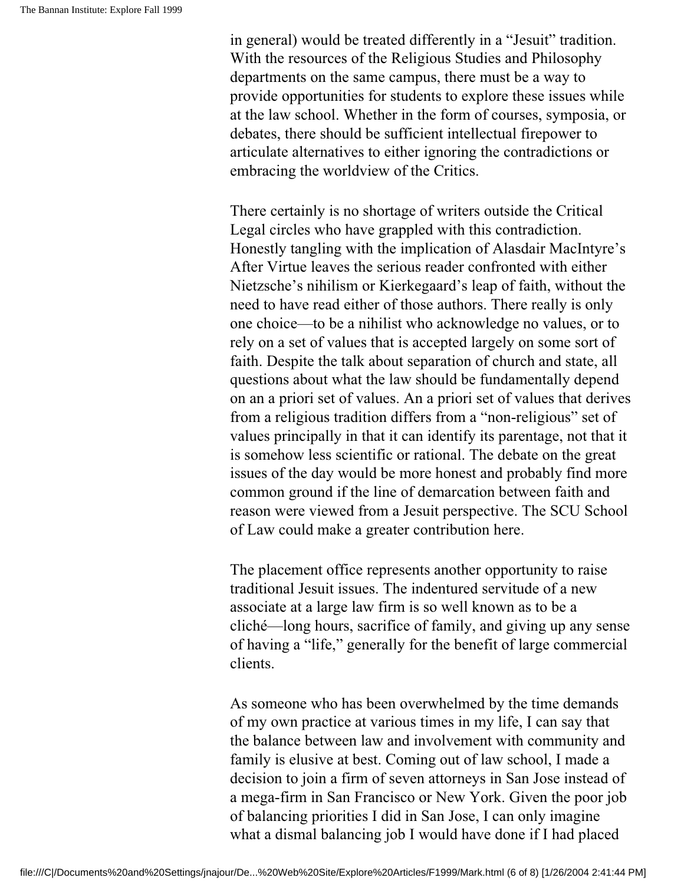in general) would be treated differently in a "Jesuit" tradition. With the resources of the Religious Studies and Philosophy departments on the same campus, there must be a way to provide opportunities for students to explore these issues while at the law school. Whether in the form of courses, symposia, or debates, there should be sufficient intellectual firepower to articulate alternatives to either ignoring the contradictions or embracing the worldview of the Critics.

There certainly is no shortage of writers outside the Critical Legal circles who have grappled with this contradiction. Honestly tangling with the implication of Alasdair MacIntyre's After Virtue leaves the serious reader confronted with either Nietzsche's nihilism or Kierkegaard's leap of faith, without the need to have read either of those authors. There really is only one choice—to be a nihilist who acknowledge no values, or to rely on a set of values that is accepted largely on some sort of faith. Despite the talk about separation of church and state, all questions about what the law should be fundamentally depend on an a priori set of values. An a priori set of values that derives from a religious tradition differs from a "non-religious" set of values principally in that it can identify its parentage, not that it is somehow less scientific or rational. The debate on the great issues of the day would be more honest and probably find more common ground if the line of demarcation between faith and reason were viewed from a Jesuit perspective. The SCU School of Law could make a greater contribution here.

The placement office represents another opportunity to raise traditional Jesuit issues. The indentured servitude of a new associate at a large law firm is so well known as to be a cliché—long hours, sacrifice of family, and giving up any sense of having a "life," generally for the benefit of large commercial clients.

As someone who has been overwhelmed by the time demands of my own practice at various times in my life, I can say that the balance between law and involvement with community and family is elusive at best. Coming out of law school, I made a decision to join a firm of seven attorneys in San Jose instead of a mega-firm in San Francisco or New York. Given the poor job of balancing priorities I did in San Jose, I can only imagine what a dismal balancing job I would have done if I had placed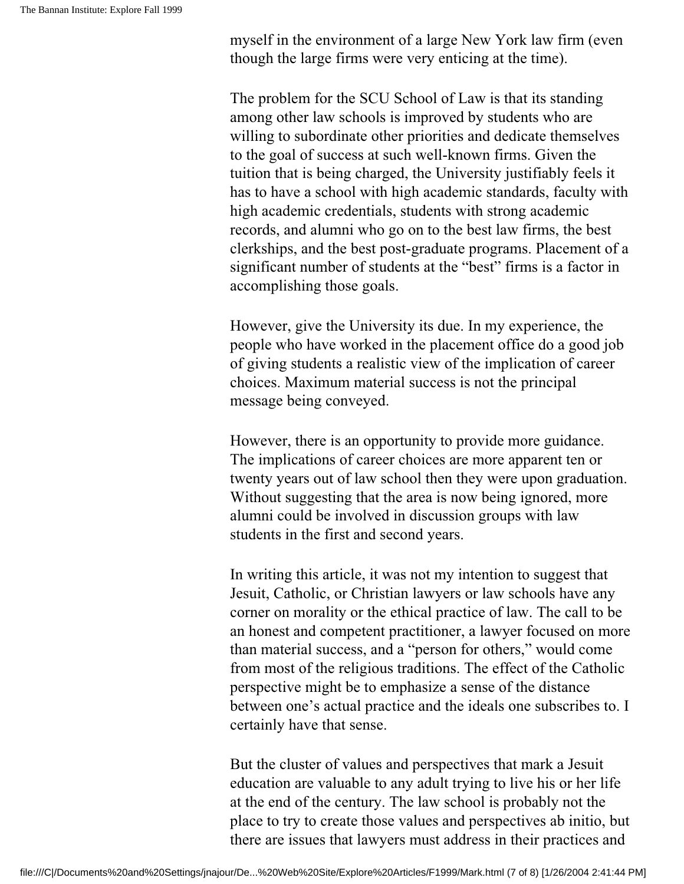myself in the environment of a large New York law firm (even though the large firms were very enticing at the time).

The problem for the SCU School of Law is that its standing among other law schools is improved by students who are willing to subordinate other priorities and dedicate themselves to the goal of success at such well-known firms. Given the tuition that is being charged, the University justifiably feels it has to have a school with high academic standards, faculty with high academic credentials, students with strong academic records, and alumni who go on to the best law firms, the best clerkships, and the best post-graduate programs. Placement of a significant number of students at the "best" firms is a factor in accomplishing those goals.

However, give the University its due. In my experience, the people who have worked in the placement office do a good job of giving students a realistic view of the implication of career choices. Maximum material success is not the principal message being conveyed.

However, there is an opportunity to provide more guidance. The implications of career choices are more apparent ten or twenty years out of law school then they were upon graduation. Without suggesting that the area is now being ignored, more alumni could be involved in discussion groups with law students in the first and second years.

In writing this article, it was not my intention to suggest that Jesuit, Catholic, or Christian lawyers or law schools have any corner on morality or the ethical practice of law. The call to be an honest and competent practitioner, a lawyer focused on more than material success, and a "person for others," would come from most of the religious traditions. The effect of the Catholic perspective might be to emphasize a sense of the distance between one's actual practice and the ideals one subscribes to. I certainly have that sense.

But the cluster of values and perspectives that mark a Jesuit education are valuable to any adult trying to live his or her life at the end of the century. The law school is probably not the place to try to create those values and perspectives ab initio, but there are issues that lawyers must address in their practices and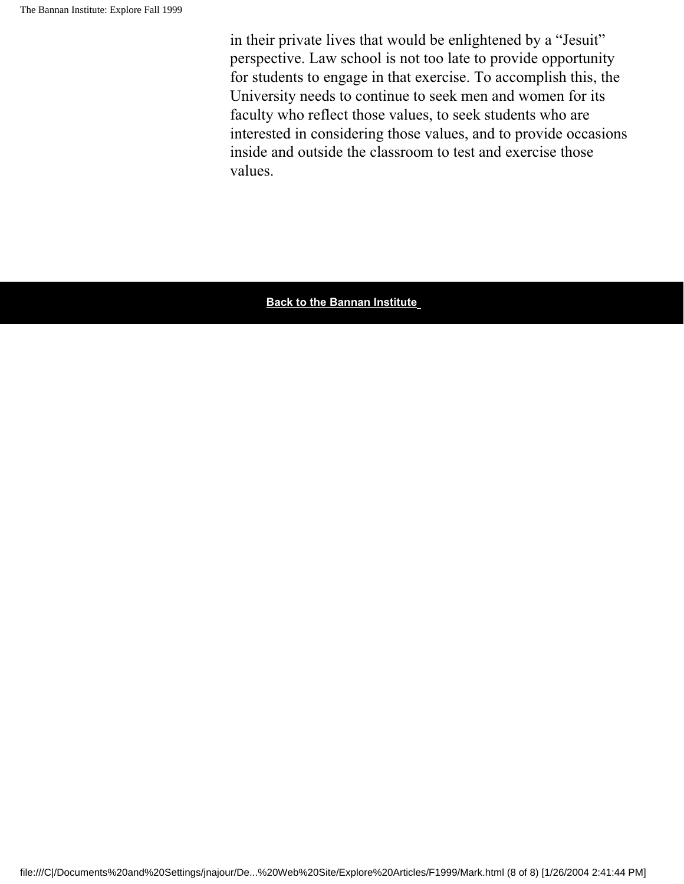in their private lives that would be enlightened by a "Jesuit" perspective. Law school is not too late to provide opportunity for students to engage in that exercise. To accomplish this, the University needs to continue to seek men and women for its faculty who reflect those values, to seek students who are interested in considering those values, and to provide occasions inside and outside the classroom to test and exercise those values.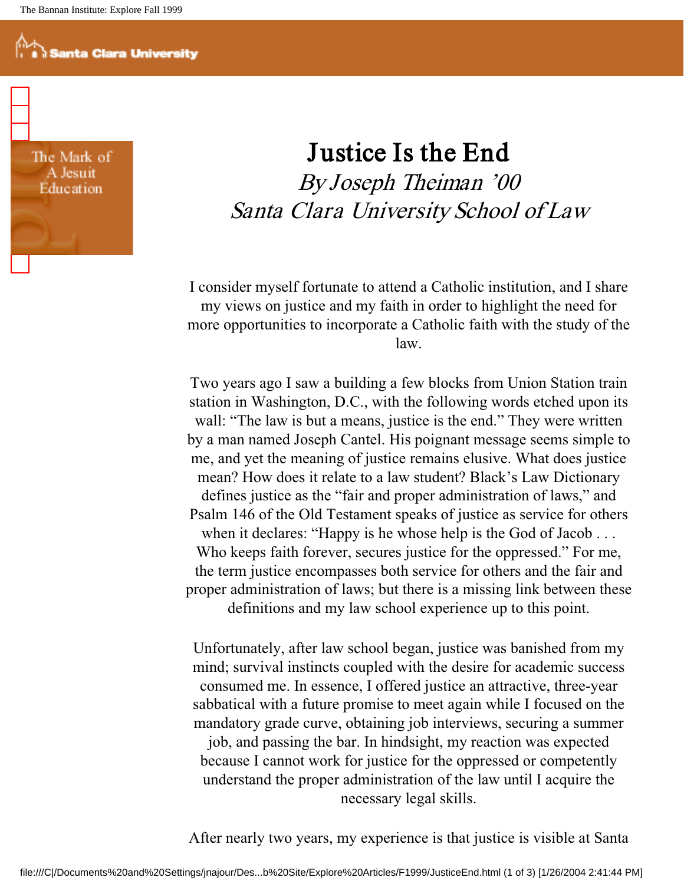The Mark of A Jesuit Education

## Justice Is the End By Joseph Theiman '00 Santa Clara University School of Law

I consider myself fortunate to attend a Catholic institution, and I share my views on justice and my faith in order to highlight the need for more opportunities to incorporate a Catholic faith with the study of the law.

Two years ago I saw a building a few blocks from Union Station train station in Washington, D.C., with the following words etched upon its wall: "The law is but a means, justice is the end." They were written by a man named Joseph Cantel. His poignant message seems simple to me, and yet the meaning of justice remains elusive. What does justice mean? How does it relate to a law student? Black's Law Dictionary defines justice as the "fair and proper administration of laws," and Psalm 146 of the Old Testament speaks of justice as service for others when it declares: "Happy is he whose help is the God of Jacob . . . Who keeps faith forever, secures justice for the oppressed." For me, the term justice encompasses both service for others and the fair and proper administration of laws; but there is a missing link between these definitions and my law school experience up to this point.

Unfortunately, after law school began, justice was banished from my mind; survival instincts coupled with the desire for academic success consumed me. In essence, I offered justice an attractive, three-year sabbatical with a future promise to meet again while I focused on the mandatory grade curve, obtaining job interviews, securing a summer job, and passing the bar. In hindsight, my reaction was expected because I cannot work for justice for the oppressed or competently understand the proper administration of the law until I acquire the necessary legal skills.

After nearly two years, my experience is that justice is visible at Santa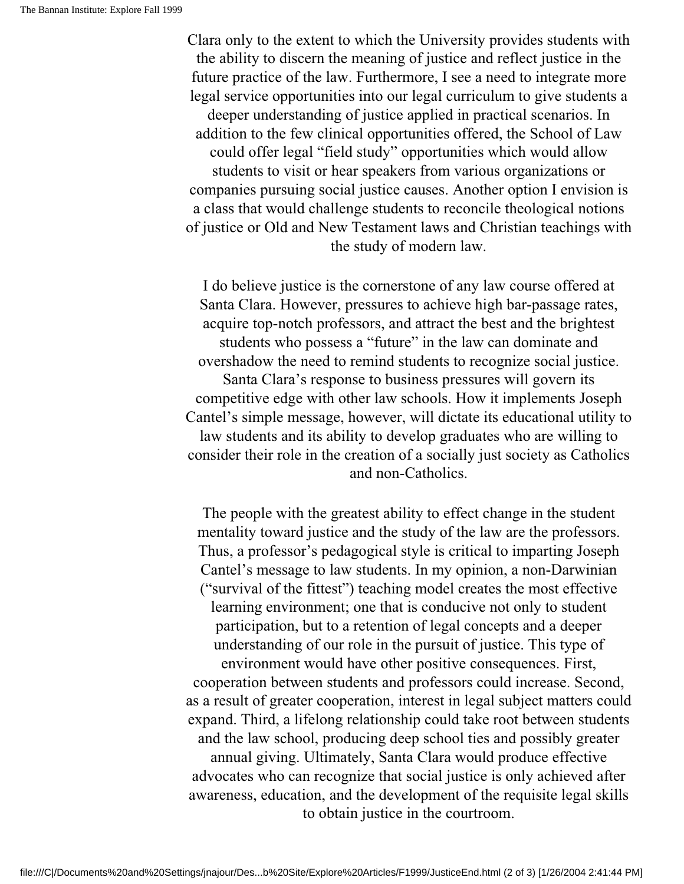Clara only to the extent to which the University provides students with the ability to discern the meaning of justice and reflect justice in the future practice of the law. Furthermore, I see a need to integrate more legal service opportunities into our legal curriculum to give students a deeper understanding of justice applied in practical scenarios. In addition to the few clinical opportunities offered, the School of Law could offer legal "field study" opportunities which would allow students to visit or hear speakers from various organizations or companies pursuing social justice causes. Another option I envision is a class that would challenge students to reconcile theological notions of justice or Old and New Testament laws and Christian teachings with the study of modern law.

I do believe justice is the cornerstone of any law course offered at Santa Clara. However, pressures to achieve high bar-passage rates, acquire top-notch professors, and attract the best and the brightest students who possess a "future" in the law can dominate and overshadow the need to remind students to recognize social justice. Santa Clara's response to business pressures will govern its competitive edge with other law schools. How it implements Joseph Cantel's simple message, however, will dictate its educational utility to law students and its ability to develop graduates who are willing to consider their role in the creation of a socially just society as Catholics and non-Catholics.

The people with the greatest ability to effect change in the student mentality toward justice and the study of the law are the professors. Thus, a professor's pedagogical style is critical to imparting Joseph Cantel's message to law students. In my opinion, a non-Darwinian ("survival of the fittest") teaching model creates the most effective learning environment; one that is conducive not only to student participation, but to a retention of legal concepts and a deeper understanding of our role in the pursuit of justice. This type of environment would have other positive consequences. First, cooperation between students and professors could increase. Second, as a result of greater cooperation, interest in legal subject matters could expand. Third, a lifelong relationship could take root between students and the law school, producing deep school ties and possibly greater annual giving. Ultimately, Santa Clara would produce effective advocates who can recognize that social justice is only achieved after awareness, education, and the development of the requisite legal skills to obtain justice in the courtroom.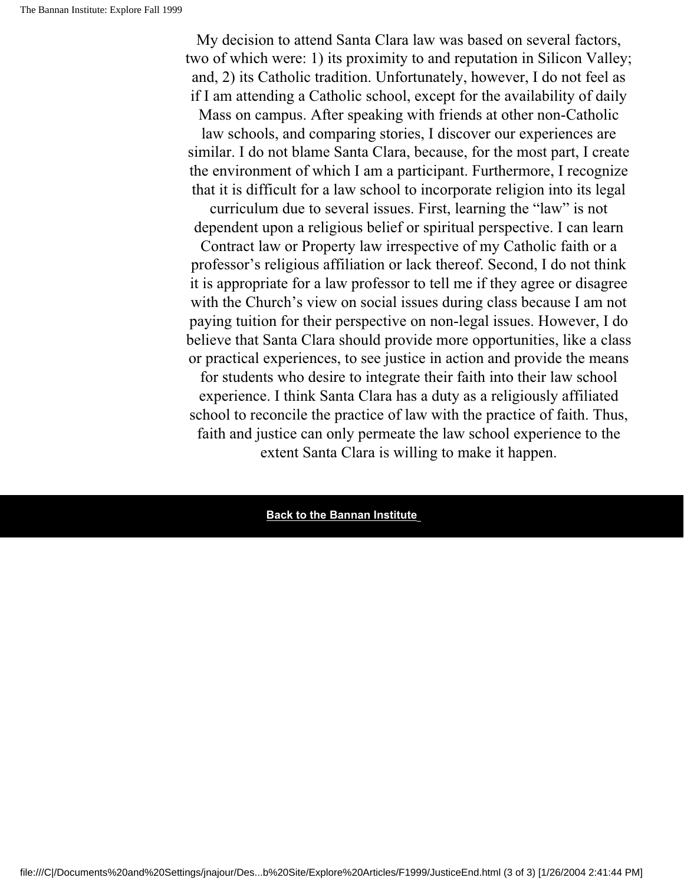My decision to attend Santa Clara law was based on several factors, two of which were: 1) its proximity to and reputation in Silicon Valley; and, 2) its Catholic tradition. Unfortunately, however, I do not feel as if I am attending a Catholic school, except for the availability of daily Mass on campus. After speaking with friends at other non-Catholic

law schools, and comparing stories, I discover our experiences are similar. I do not blame Santa Clara, because, for the most part, I create the environment of which I am a participant. Furthermore, I recognize that it is difficult for a law school to incorporate religion into its legal

curriculum due to several issues. First, learning the "law" is not dependent upon a religious belief or spiritual perspective. I can learn

Contract law or Property law irrespective of my Catholic faith or a professor's religious affiliation or lack thereof. Second, I do not think it is appropriate for a law professor to tell me if they agree or disagree with the Church's view on social issues during class because I am not paying tuition for their perspective on non-legal issues. However, I do believe that Santa Clara should provide more opportunities, like a class or practical experiences, to see justice in action and provide the means for students who desire to integrate their faith into their law school experience. I think Santa Clara has a duty as a religiously affiliated school to reconcile the practice of law with the practice of faith. Thus, faith and justice can only permeate the law school experience to the extent Santa Clara is willing to make it happen.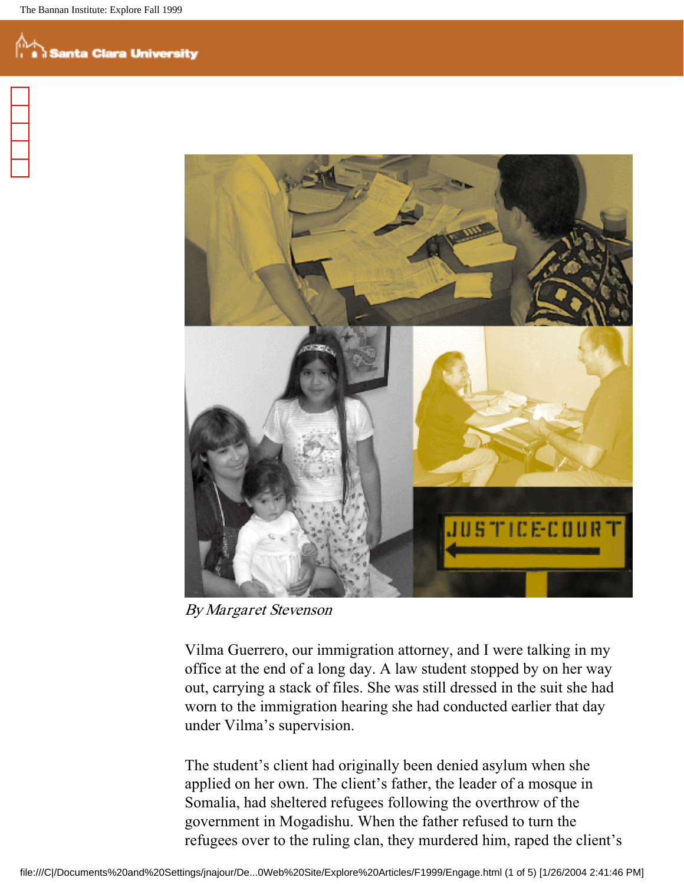

By Margaret Stevenson

Vilma Guerrero, our immigration attorney, and I were talking in my office at the end of a long day. A law student stopped by on her way out, carrying a stack of files. She was still dressed in the suit she had worn to the immigration hearing she had conducted earlier that day under Vilma's supervision.

The student's client had originally been denied asylum when she applied on her own. The client's father, the leader of a mosque in Somalia, had sheltered refugees following the overthrow of the government in Mogadishu. When the father refused to turn the refugees over to the ruling clan, they murdered him, raped the client's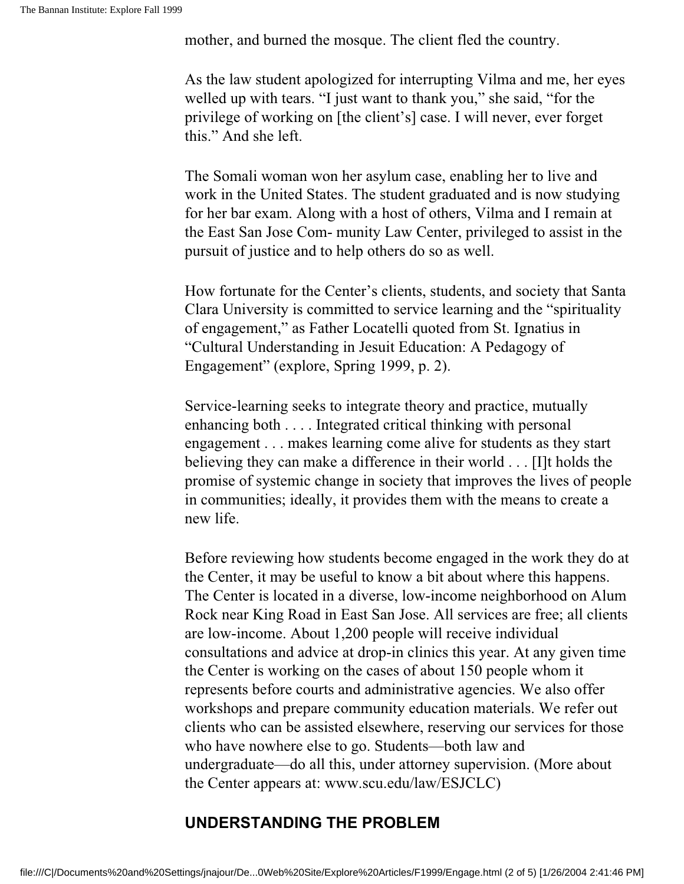mother, and burned the mosque. The client fled the country.

As the law student apologized for interrupting Vilma and me, her eyes welled up with tears. "I just want to thank you," she said, "for the privilege of working on [the client's] case. I will never, ever forget this." And she left.

The Somali woman won her asylum case, enabling her to live and work in the United States. The student graduated and is now studying for her bar exam. Along with a host of others, Vilma and I remain at the East San Jose Com- munity Law Center, privileged to assist in the pursuit of justice and to help others do so as well.

How fortunate for the Center's clients, students, and society that Santa Clara University is committed to service learning and the "spirituality of engagement," as Father Locatelli quoted from St. Ignatius in "Cultural Understanding in Jesuit Education: A Pedagogy of Engagement" (explore, Spring 1999, p. 2).

Service-learning seeks to integrate theory and practice, mutually enhancing both . . . . Integrated critical thinking with personal engagement . . . makes learning come alive for students as they start believing they can make a difference in their world . . . [I]t holds the promise of systemic change in society that improves the lives of people in communities; ideally, it provides them with the means to create a new life.

Before reviewing how students become engaged in the work they do at the Center, it may be useful to know a bit about where this happens. The Center is located in a diverse, low-income neighborhood on Alum Rock near King Road in East San Jose. All services are free; all clients are low-income. About 1,200 people will receive individual consultations and advice at drop-in clinics this year. At any given time the Center is working on the cases of about 150 people whom it represents before courts and administrative agencies. We also offer workshops and prepare community education materials. We refer out clients who can be assisted elsewhere, reserving our services for those who have nowhere else to go. Students—both law and undergraduate—do all this, under attorney supervision. (More about the Center appears at: www.scu.edu/law/ESJCLC)

#### **UNDERSTANDING THE PROBLEM**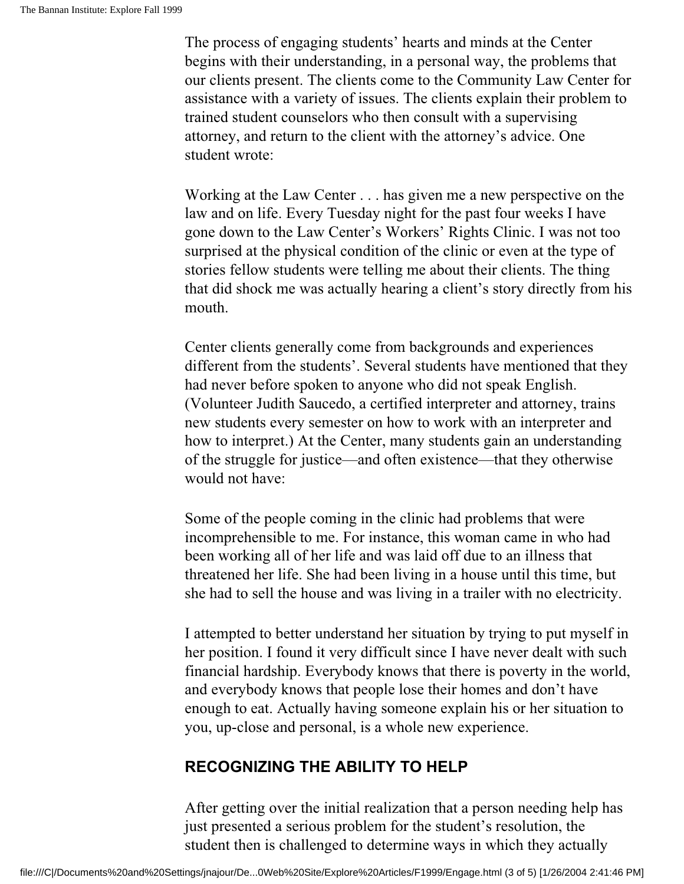The process of engaging students' hearts and minds at the Center begins with their understanding, in a personal way, the problems that our clients present. The clients come to the Community Law Center for assistance with a variety of issues. The clients explain their problem to trained student counselors who then consult with a supervising attorney, and return to the client with the attorney's advice. One student wrote:

Working at the Law Center . . . has given me a new perspective on the law and on life. Every Tuesday night for the past four weeks I have gone down to the Law Center's Workers' Rights Clinic. I was not too surprised at the physical condition of the clinic or even at the type of stories fellow students were telling me about their clients. The thing that did shock me was actually hearing a client's story directly from his mouth.

Center clients generally come from backgrounds and experiences different from the students'. Several students have mentioned that they had never before spoken to anyone who did not speak English. (Volunteer Judith Saucedo, a certified interpreter and attorney, trains new students every semester on how to work with an interpreter and how to interpret.) At the Center, many students gain an understanding of the struggle for justice—and often existence—that they otherwise would not have:

Some of the people coming in the clinic had problems that were incomprehensible to me. For instance, this woman came in who had been working all of her life and was laid off due to an illness that threatened her life. She had been living in a house until this time, but she had to sell the house and was living in a trailer with no electricity.

I attempted to better understand her situation by trying to put myself in her position. I found it very difficult since I have never dealt with such financial hardship. Everybody knows that there is poverty in the world, and everybody knows that people lose their homes and don't have enough to eat. Actually having someone explain his or her situation to you, up-close and personal, is a whole new experience.

#### **RECOGNIZING THE ABILITY TO HELP**

After getting over the initial realization that a person needing help has just presented a serious problem for the student's resolution, the student then is challenged to determine ways in which they actually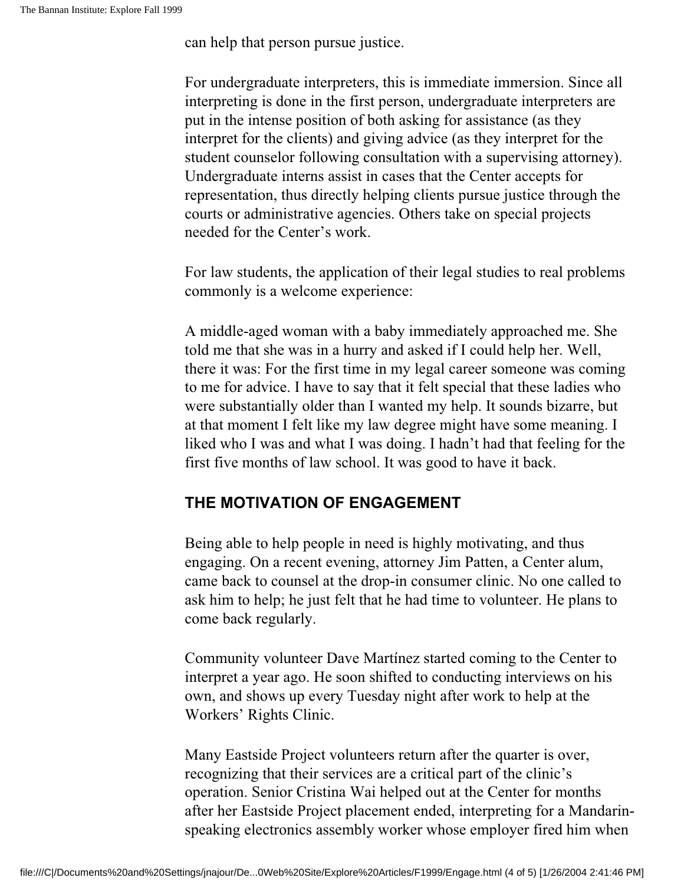can help that person pursue justice.

For undergraduate interpreters, this is immediate immersion. Since all interpreting is done in the first person, undergraduate interpreters are put in the intense position of both asking for assistance (as they interpret for the clients) and giving advice (as they interpret for the student counselor following consultation with a supervising attorney). Undergraduate interns assist in cases that the Center accepts for representation, thus directly helping clients pursue justice through the courts or administrative agencies. Others take on special projects needed for the Center's work.

For law students, the application of their legal studies to real problems commonly is a welcome experience:

A middle-aged woman with a baby immediately approached me. She told me that she was in a hurry and asked if I could help her. Well, there it was: For the first time in my legal career someone was coming to me for advice. I have to say that it felt special that these ladies who were substantially older than I wanted my help. It sounds bizarre, but at that moment I felt like my law degree might have some meaning. I liked who I was and what I was doing. I hadn't had that feeling for the first five months of law school. It was good to have it back.

#### **THE MOTIVATION OF ENGAGEMENT**

Being able to help people in need is highly motivating, and thus engaging. On a recent evening, attorney Jim Patten, a Center alum, came back to counsel at the drop-in consumer clinic. No one called to ask him to help; he just felt that he had time to volunteer. He plans to come back regularly.

Community volunteer Dave Martínez started coming to the Center to interpret a year ago. He soon shifted to conducting interviews on his own, and shows up every Tuesday night after work to help at the Workers' Rights Clinic.

Many Eastside Project volunteers return after the quarter is over, recognizing that their services are a critical part of the clinic's operation. Senior Cristina Wai helped out at the Center for months after her Eastside Project placement ended, interpreting for a Mandarinspeaking electronics assembly worker whose employer fired him when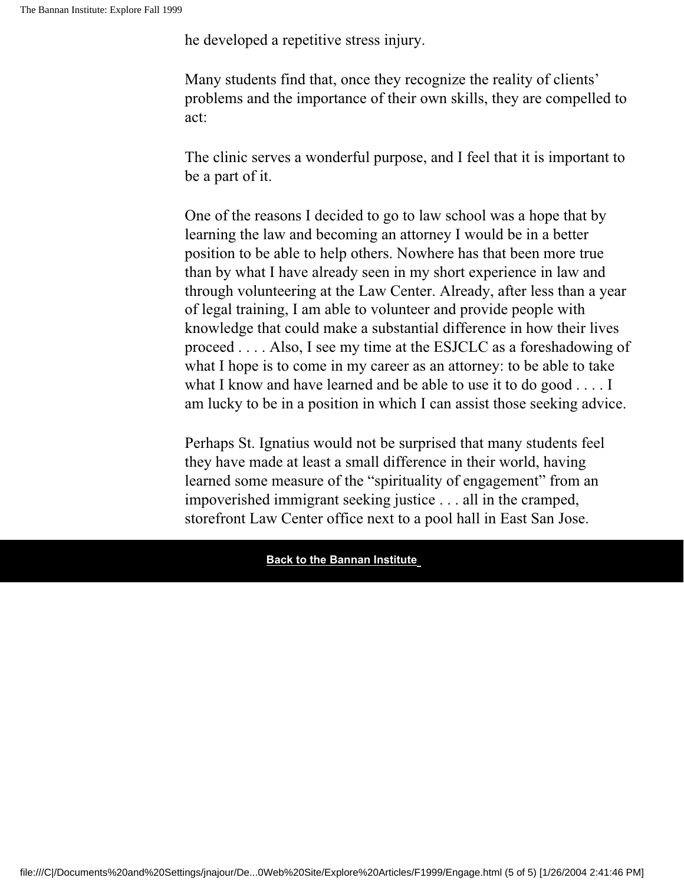he developed a repetitive stress injury.

Many students find that, once they recognize the reality of clients' problems and the importance of their own skills, they are compelled to act:

The clinic serves a wonderful purpose, and I feel that it is important to be a part of it.

One of the reasons I decided to go to law school was a hope that by learning the law and becoming an attorney I would be in a better position to be able to help others. Nowhere has that been more true than by what I have already seen in my short experience in law and through volunteering at the Law Center. Already, after less than a year of legal training, I am able to volunteer and provide people with knowledge that could make a substantial difference in how their lives proceed . . . . Also, I see my time at the ESJCLC as a foreshadowing of what I hope is to come in my career as an attorney: to be able to take what I know and have learned and be able to use it to do good . . . . I am lucky to be in a position in which I can assist those seeking advice.

Perhaps St. Ignatius would not be surprised that many students feel they have made at least a small difference in their world, having learned some measure of the "spirituality of engagement" from an impoverished immigrant seeking justice . . . all in the cramped, storefront Law Center office next to a pool hall in East San Jose.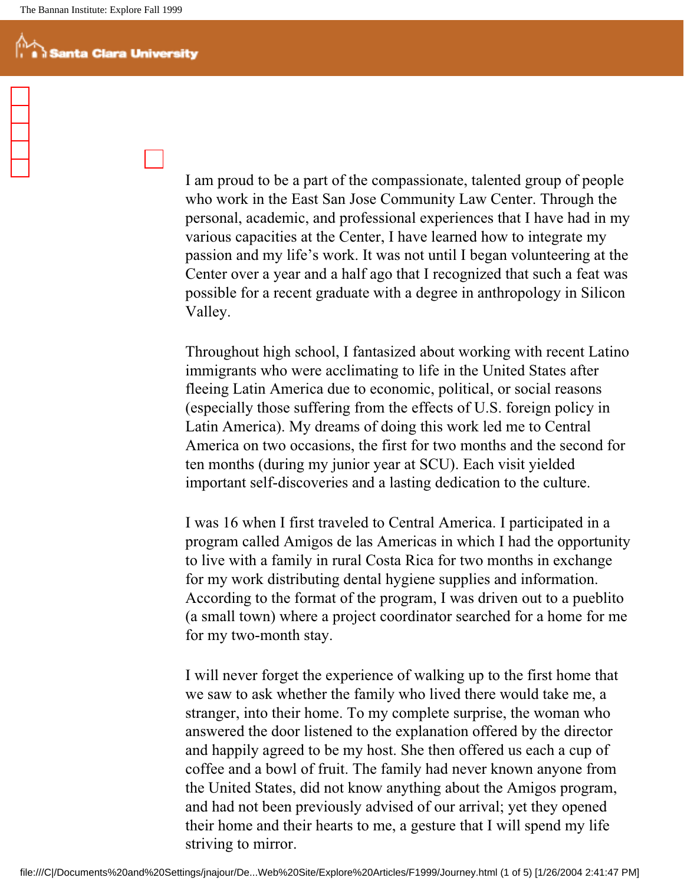I am proud to be a part of the compassionate, talented group of people who work in the East San Jose Community Law Center. Through the personal, academic, and professional experiences that I have had in my various capacities at the Center, I have learned how to integrate my passion and my life's work. It was not until I began volunteering at the Center over a year and a half ago that I recognized that such a feat was possible for a recent graduate with a degree in anthropology in Silicon Valley.

Throughout high school, I fantasized about working with recent Latino immigrants who were acclimating to life in the United States after fleeing Latin America due to economic, political, or social reasons (especially those suffering from the effects of U.S. foreign policy in Latin America). My dreams of doing this work led me to Central America on two occasions, the first for two months and the second for ten months (during my junior year at SCU). Each visit yielded important self-discoveries and a lasting dedication to the culture.

I was 16 when I first traveled to Central America. I participated in a program called Amigos de las Americas in which I had the opportunity to live with a family in rural Costa Rica for two months in exchange for my work distributing dental hygiene supplies and information. According to the format of the program, I was driven out to a pueblito (a small town) where a project coordinator searched for a home for me for my two-month stay.

I will never forget the experience of walking up to the first home that we saw to ask whether the family who lived there would take me, a stranger, into their home. To my complete surprise, the woman who answered the door listened to the explanation offered by the director and happily agreed to be my host. She then offered us each a cup of coffee and a bowl of fruit. The family had never known anyone from the United States, did not know anything about the Amigos program, and had not been previously advised of our arrival; yet they opened their home and their hearts to me, a gesture that I will spend my life striving to mirror.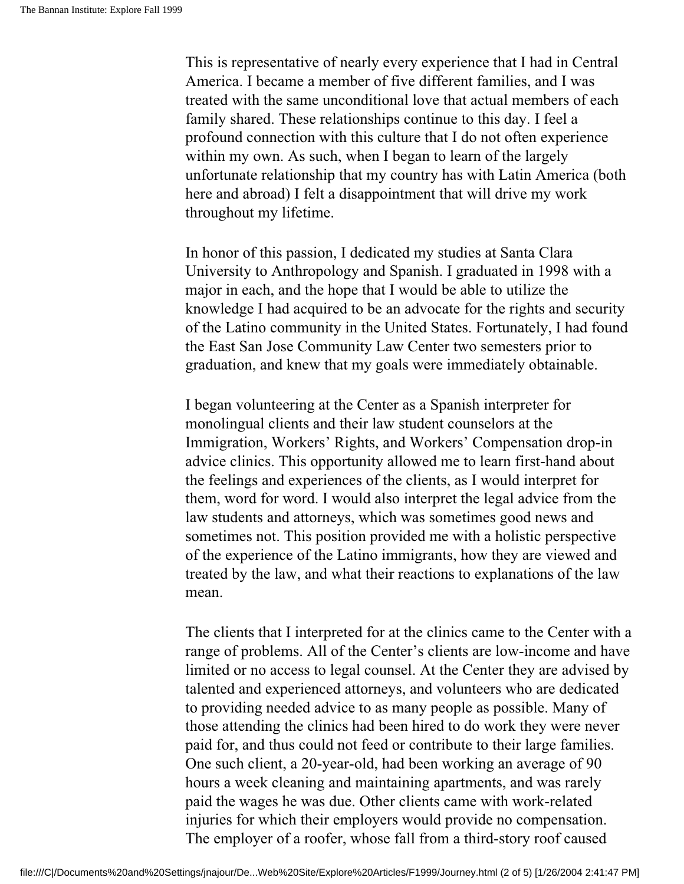This is representative of nearly every experience that I had in Central America. I became a member of five different families, and I was treated with the same unconditional love that actual members of each family shared. These relationships continue to this day. I feel a profound connection with this culture that I do not often experience within my own. As such, when I began to learn of the largely unfortunate relationship that my country has with Latin America (both here and abroad) I felt a disappointment that will drive my work throughout my lifetime.

In honor of this passion, I dedicated my studies at Santa Clara University to Anthropology and Spanish. I graduated in 1998 with a major in each, and the hope that I would be able to utilize the knowledge I had acquired to be an advocate for the rights and security of the Latino community in the United States. Fortunately, I had found the East San Jose Community Law Center two semesters prior to graduation, and knew that my goals were immediately obtainable.

I began volunteering at the Center as a Spanish interpreter for monolingual clients and their law student counselors at the Immigration, Workers' Rights, and Workers' Compensation drop-in advice clinics. This opportunity allowed me to learn first-hand about the feelings and experiences of the clients, as I would interpret for them, word for word. I would also interpret the legal advice from the law students and attorneys, which was sometimes good news and sometimes not. This position provided me with a holistic perspective of the experience of the Latino immigrants, how they are viewed and treated by the law, and what their reactions to explanations of the law mean.

The clients that I interpreted for at the clinics came to the Center with a range of problems. All of the Center's clients are low-income and have limited or no access to legal counsel. At the Center they are advised by talented and experienced attorneys, and volunteers who are dedicated to providing needed advice to as many people as possible. Many of those attending the clinics had been hired to do work they were never paid for, and thus could not feed or contribute to their large families. One such client, a 20-year-old, had been working an average of 90 hours a week cleaning and maintaining apartments, and was rarely paid the wages he was due. Other clients came with work-related injuries for which their employers would provide no compensation. The employer of a roofer, whose fall from a third-story roof caused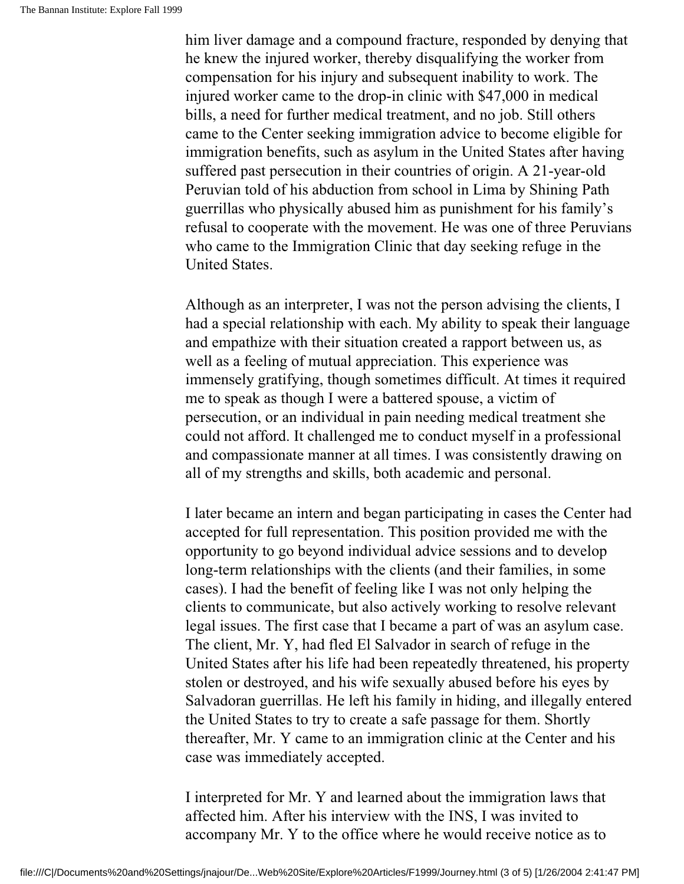him liver damage and a compound fracture, responded by denying that he knew the injured worker, thereby disqualifying the worker from compensation for his injury and subsequent inability to work. The injured worker came to the drop-in clinic with \$47,000 in medical bills, a need for further medical treatment, and no job. Still others came to the Center seeking immigration advice to become eligible for immigration benefits, such as asylum in the United States after having suffered past persecution in their countries of origin. A 21-year-old Peruvian told of his abduction from school in Lima by Shining Path guerrillas who physically abused him as punishment for his family's refusal to cooperate with the movement. He was one of three Peruvians who came to the Immigration Clinic that day seeking refuge in the United States.

Although as an interpreter, I was not the person advising the clients, I had a special relationship with each. My ability to speak their language and empathize with their situation created a rapport between us, as well as a feeling of mutual appreciation. This experience was immensely gratifying, though sometimes difficult. At times it required me to speak as though I were a battered spouse, a victim of persecution, or an individual in pain needing medical treatment she could not afford. It challenged me to conduct myself in a professional and compassionate manner at all times. I was consistently drawing on all of my strengths and skills, both academic and personal.

I later became an intern and began participating in cases the Center had accepted for full representation. This position provided me with the opportunity to go beyond individual advice sessions and to develop long-term relationships with the clients (and their families, in some cases). I had the benefit of feeling like I was not only helping the clients to communicate, but also actively working to resolve relevant legal issues. The first case that I became a part of was an asylum case. The client, Mr. Y, had fled El Salvador in search of refuge in the United States after his life had been repeatedly threatened, his property stolen or destroyed, and his wife sexually abused before his eyes by Salvadoran guerrillas. He left his family in hiding, and illegally entered the United States to try to create a safe passage for them. Shortly thereafter, Mr. Y came to an immigration clinic at the Center and his case was immediately accepted.

I interpreted for Mr. Y and learned about the immigration laws that affected him. After his interview with the INS, I was invited to accompany Mr. Y to the office where he would receive notice as to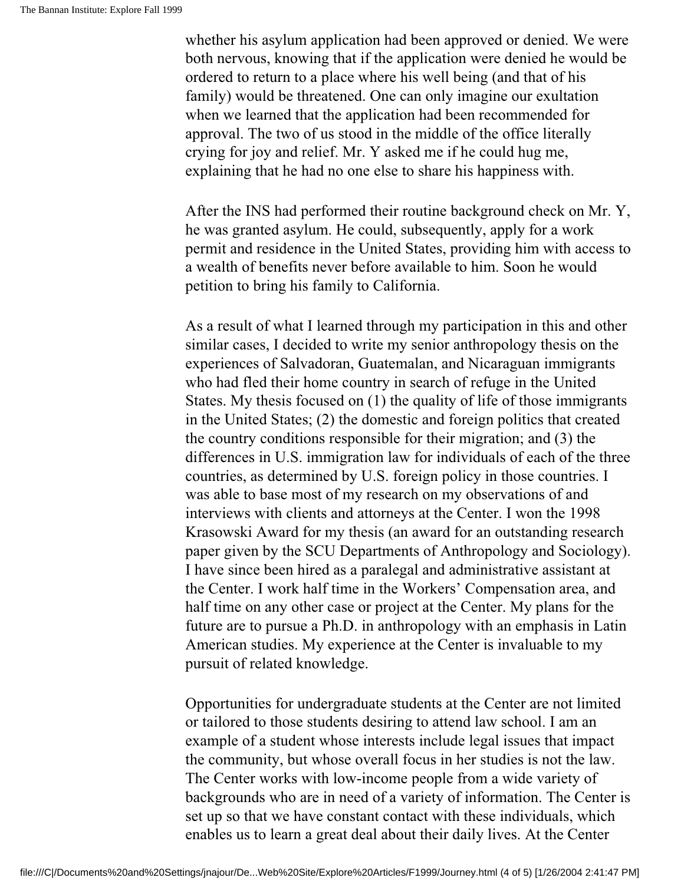whether his asylum application had been approved or denied. We were both nervous, knowing that if the application were denied he would be ordered to return to a place where his well being (and that of his family) would be threatened. One can only imagine our exultation when we learned that the application had been recommended for approval. The two of us stood in the middle of the office literally crying for joy and relief. Mr. Y asked me if he could hug me, explaining that he had no one else to share his happiness with.

After the INS had performed their routine background check on Mr. Y, he was granted asylum. He could, subsequently, apply for a work permit and residence in the United States, providing him with access to a wealth of benefits never before available to him. Soon he would petition to bring his family to California.

As a result of what I learned through my participation in this and other similar cases, I decided to write my senior anthropology thesis on the experiences of Salvadoran, Guatemalan, and Nicaraguan immigrants who had fled their home country in search of refuge in the United States. My thesis focused on (1) the quality of life of those immigrants in the United States; (2) the domestic and foreign politics that created the country conditions responsible for their migration; and (3) the differences in U.S. immigration law for individuals of each of the three countries, as determined by U.S. foreign policy in those countries. I was able to base most of my research on my observations of and interviews with clients and attorneys at the Center. I won the 1998 Krasowski Award for my thesis (an award for an outstanding research paper given by the SCU Departments of Anthropology and Sociology). I have since been hired as a paralegal and administrative assistant at the Center. I work half time in the Workers' Compensation area, and half time on any other case or project at the Center. My plans for the future are to pursue a Ph.D. in anthropology with an emphasis in Latin American studies. My experience at the Center is invaluable to my pursuit of related knowledge.

Opportunities for undergraduate students at the Center are not limited or tailored to those students desiring to attend law school. I am an example of a student whose interests include legal issues that impact the community, but whose overall focus in her studies is not the law. The Center works with low-income people from a wide variety of backgrounds who are in need of a variety of information. The Center is set up so that we have constant contact with these individuals, which enables us to learn a great deal about their daily lives. At the Center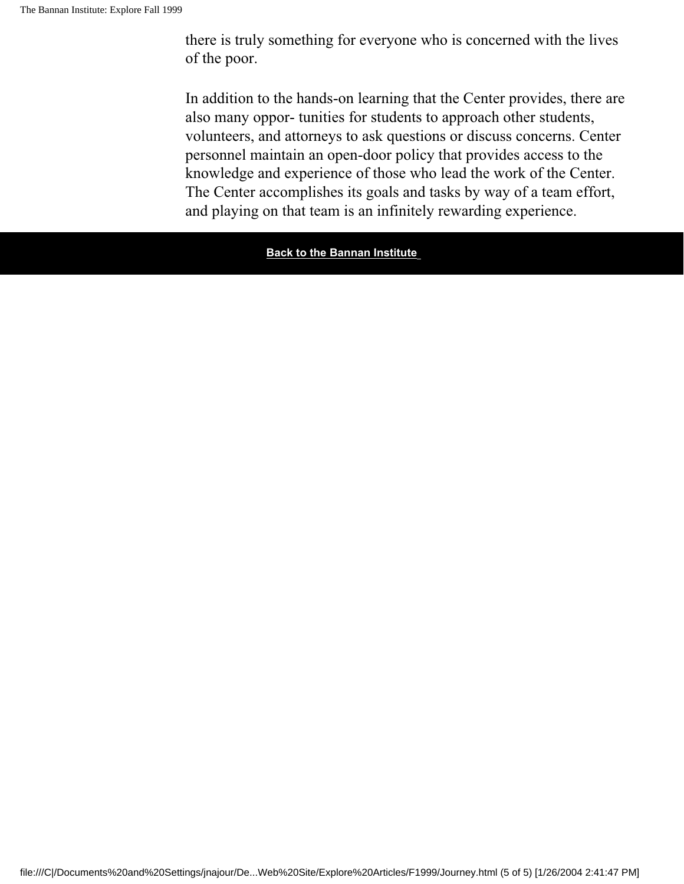there is truly something for everyone who is concerned with the lives of the poor.

In addition to the hands-on learning that the Center provides, there are also many oppor- tunities for students to approach other students, volunteers, and attorneys to ask questions or discuss concerns. Center personnel maintain an open-door policy that provides access to the knowledge and experience of those who lead the work of the Center. The Center accomplishes its goals and tasks by way of a team effort, and playing on that team is an infinitely rewarding experience.

**Back to the Bannan Institute**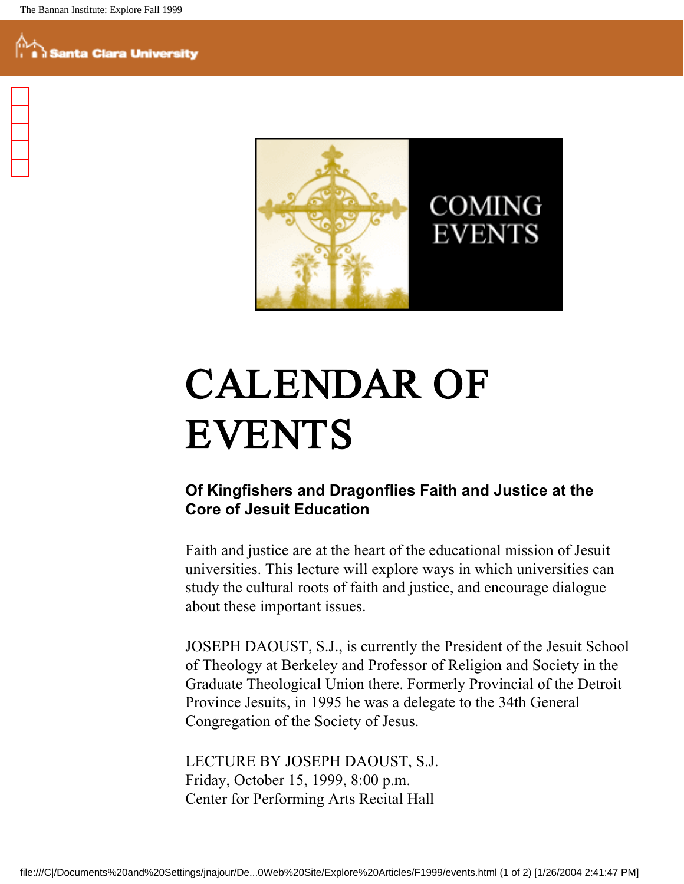

# CALENDAR OF EVENTS

### **Of Kingfishers and Dragonflies Faith and Justice at the Core of Jesuit Education**

Faith and justice are at the heart of the educational mission of Jesuit universities. This lecture will explore ways in which universities can study the cultural roots of faith and justice, and encourage dialogue about these important issues.

JOSEPH DAOUST, S.J., is currently the President of the Jesuit School of Theology at Berkeley and Professor of Religion and Society in the Graduate Theological Union there. Formerly Provincial of the Detroit Province Jesuits, in 1995 he was a delegate to the 34th General Congregation of the Society of Jesus.

LECTURE BY JOSEPH DAOUST, S.J. Friday, October 15, 1999, 8:00 p.m. Center for Performing Arts Recital Hall